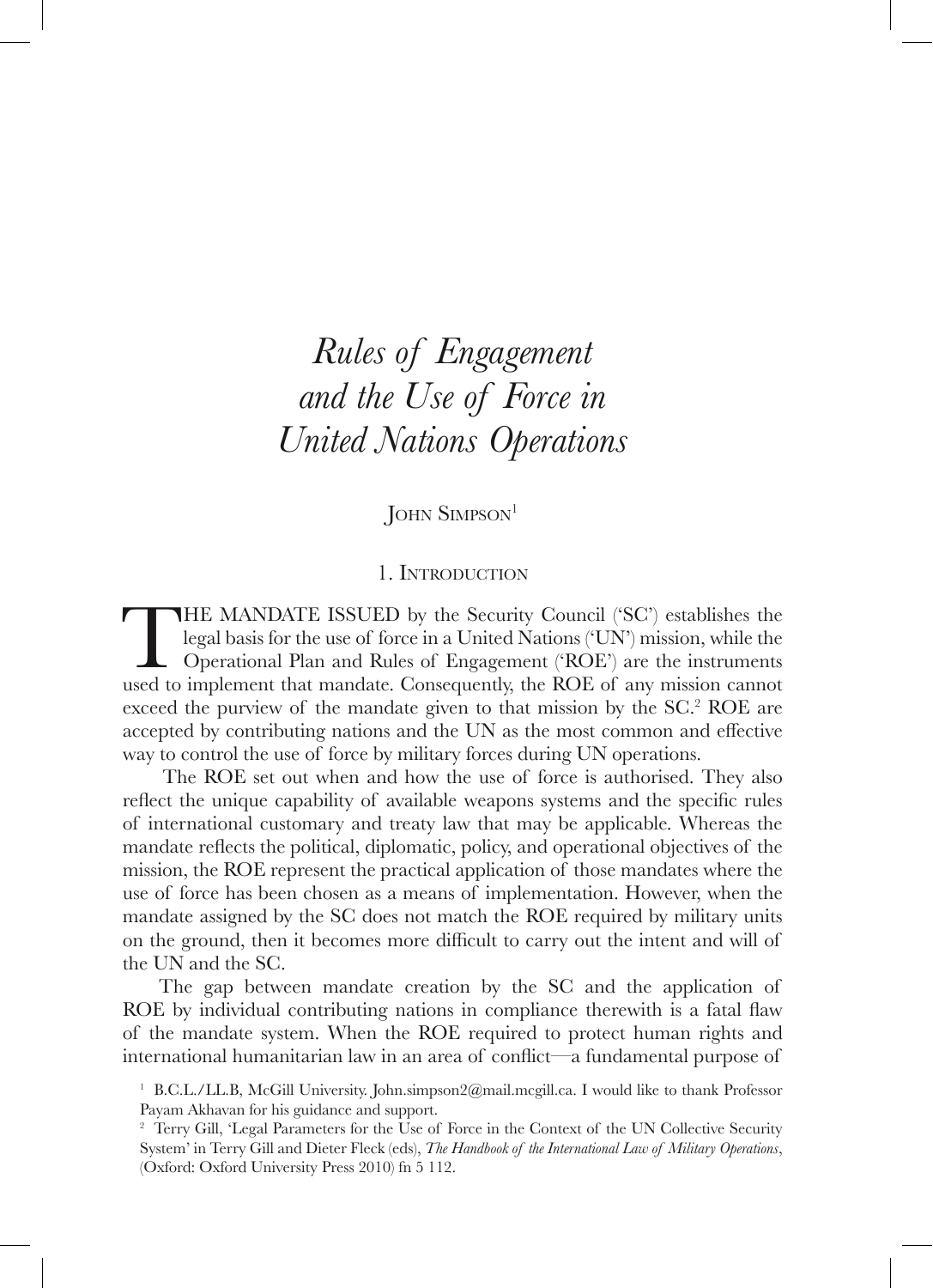# *Rules of Engagement and the Use of Force in United Nations Operations*

**JOHN SIMPSON**<sup>1</sup>

# 1. Introduction

THE MANDATE ISSUED by the Security Council ('SC') establishes the legal basis for the use of force in a United Nations ('UN') mission, while the Operational Plan and Rules of Engagement ('ROE') are the instruments used to implement that mandate. Consequently, the ROE of any mission cannot exceed the purview of the mandate given to that mission by the SC.<sup>2</sup> ROE are accepted by contributing nations and the UN as the most common and effective way to control the use of force by military forces during UN operations.

The ROE set out when and how the use of force is authorised. They also reflect the unique capability of available weapons systems and the specific rules of international customary and treaty law that may be applicable. Whereas the mandate reflects the political, diplomatic, policy, and operational objectives of the mission, the ROE represent the practical application of those mandates where the use of force has been chosen as a means of implementation. However, when the mandate assigned by the SC does not match the ROE required by military units on the ground, then it becomes more difficult to carry out the intent and will of the UN and the SC.

The gap between mandate creation by the SC and the application of ROE by individual contributing nations in compliance therewith is a fatal flaw of the mandate system. When the ROE required to protect human rights and international humanitarian law in an area of conflict—a fundamental purpose of

<sup>&</sup>lt;sup>1</sup> B.C.L./LL.B, McGill University. John.simpson2@mail.mcgill.ca. I would like to thank Professor Payam Akhavan for his guidance and support.

<sup>&</sup>lt;sup>2</sup> Terry Gill, 'Legal Parameters for the Use of Force in the Context of the UN Collective Security System' in Terry Gill and Dieter Fleck (eds), *The Handbook of the International Law of Military Operations*, (Oxford: Oxford University Press 2010) fn 5 112.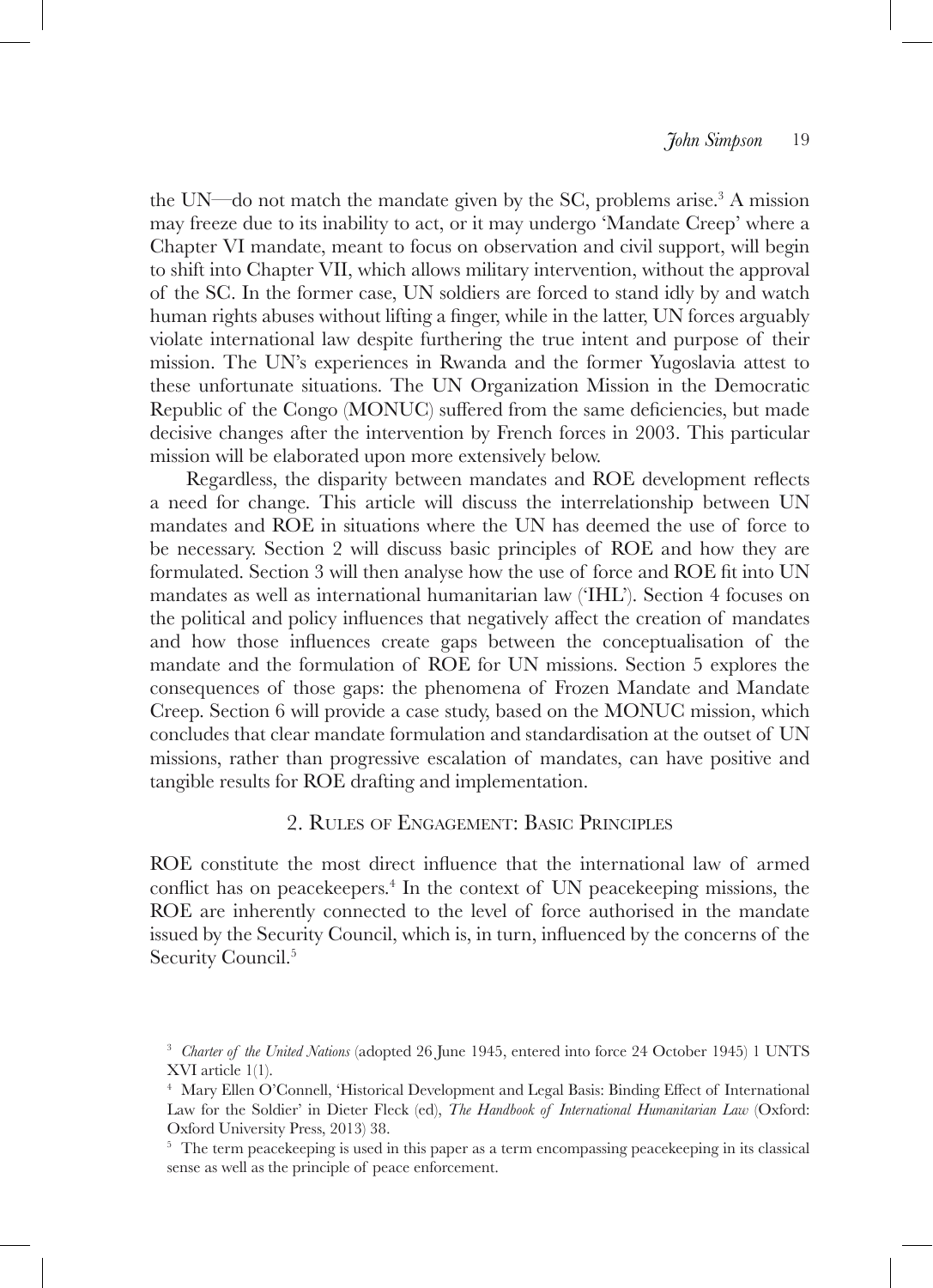the UN—do not match the mandate given by the SC, problems arise.<sup>3</sup> A mission may freeze due to its inability to act, or it may undergo 'Mandate Creep' where a Chapter VI mandate, meant to focus on observation and civil support, will begin to shift into Chapter VII, which allows military intervention, without the approval of the SC. In the former case, UN soldiers are forced to stand idly by and watch human rights abuses without lifting a finger, while in the latter, UN forces arguably violate international law despite furthering the true intent and purpose of their mission. The UN's experiences in Rwanda and the former Yugoslavia attest to these unfortunate situations. The UN Organization Mission in the Democratic Republic of the Congo (MONUC) suffered from the same deficiencies, but made decisive changes after the intervention by French forces in 2003. This particular mission will be elaborated upon more extensively below.

Regardless, the disparity between mandates and ROE development reflects a need for change. This article will discuss the interrelationship between UN mandates and ROE in situations where the UN has deemed the use of force to be necessary. Section 2 will discuss basic principles of ROE and how they are formulated. Section 3 will then analyse how the use of force and ROE fit into UN mandates as well as international humanitarian law ('IHL'). Section 4 focuses on the political and policy influences that negatively affect the creation of mandates and how those influences create gaps between the conceptualisation of the mandate and the formulation of ROE for UN missions. Section 5 explores the consequences of those gaps: the phenomena of Frozen Mandate and Mandate Creep. Section 6 will provide a case study, based on the MONUC mission, which concludes that clear mandate formulation and standardisation at the outset of UN missions, rather than progressive escalation of mandates, can have positive and tangible results for ROE drafting and implementation.

# 2. Rules of Engagement: Basic Principles

ROE constitute the most direct influence that the international law of armed conflict has on peacekeepers.<sup>4</sup> In the context of UN peacekeeping missions, the ROE are inherently connected to the level of force authorised in the mandate issued by the Security Council, which is, in turn, influenced by the concerns of the Security Council.<sup>5</sup>

<sup>&</sup>lt;sup>3</sup> *Charter of the United Nations* (adopted 26 June 1945, entered into force 24 October 1945) 1 UNTS XVI article 1(1).

<sup>4</sup> Mary Ellen O'Connell, 'Historical Development and Legal Basis: Binding Effect of International Law for the Soldier' in Dieter Fleck (ed), *The Handbook of International Humanitarian Law* (Oxford: Oxford University Press, 2013) 38.

<sup>&</sup>lt;sup>5</sup> The term peacekeeping is used in this paper as a term encompassing peacekeeping in its classical sense as well as the principle of peace enforcement.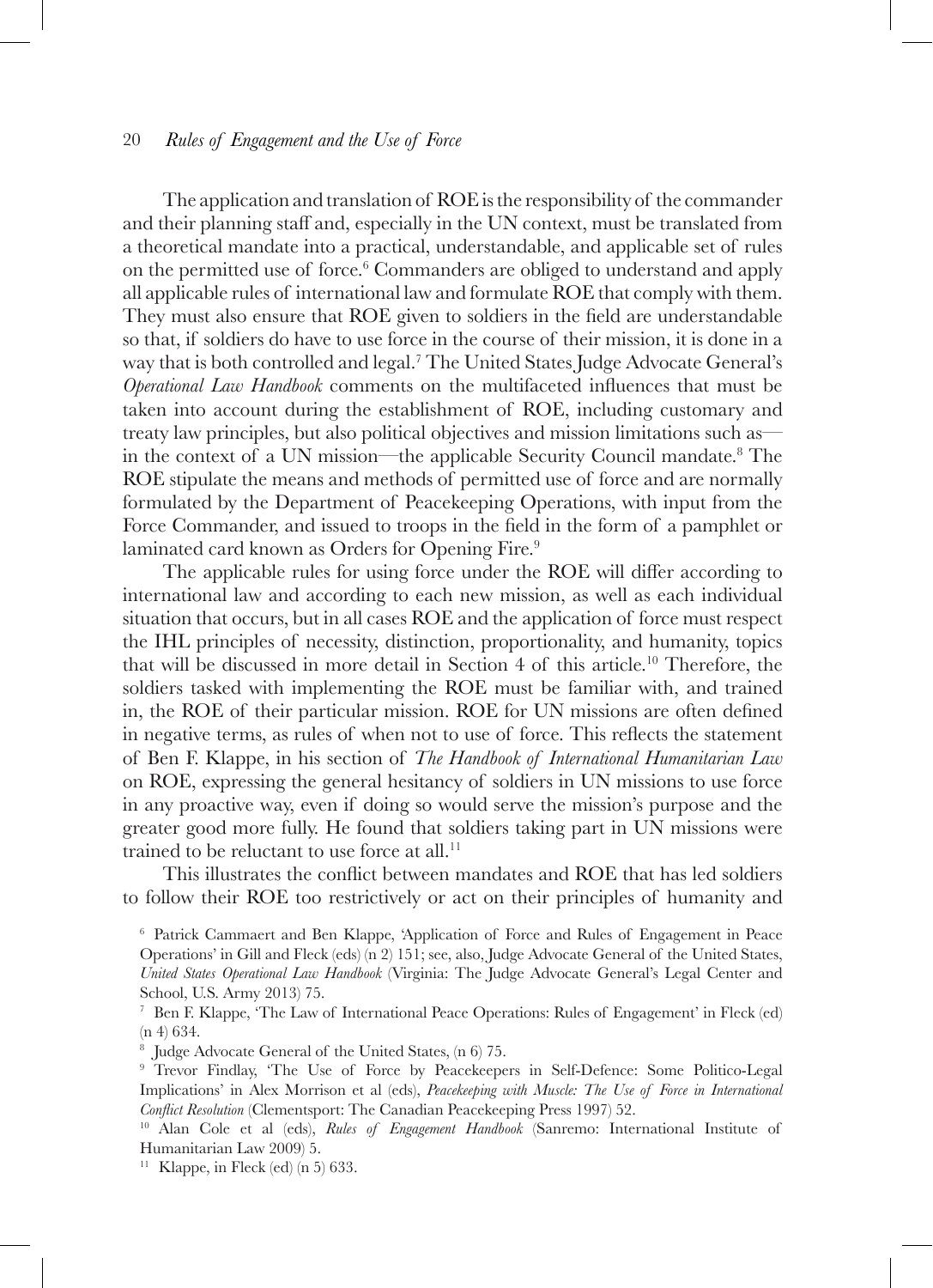The application and translation of ROE is the responsibility of the commander and their planning staff and, especially in the UN context, must be translated from a theoretical mandate into a practical, understandable, and applicable set of rules on the permitted use of force.6 Commanders are obliged to understand and apply all applicable rules of international law and formulate ROE that comply with them. They must also ensure that ROE given to soldiers in the field are understandable so that, if soldiers do have to use force in the course of their mission, it is done in a way that is both controlled and legal.7 The United States Judge Advocate General's *Operational Law Handbook* comments on the multifaceted influences that must be taken into account during the establishment of ROE, including customary and treaty law principles, but also political objectives and mission limitations such as in the context of a UN mission—the applicable Security Council mandate.8 The ROE stipulate the means and methods of permitted use of force and are normally formulated by the Department of Peacekeeping Operations, with input from the Force Commander, and issued to troops in the field in the form of a pamphlet or laminated card known as Orders for Opening Fire.<sup>9</sup>

The applicable rules for using force under the ROE will differ according to international law and according to each new mission, as well as each individual situation that occurs, but in all cases ROE and the application of force must respect the IHL principles of necessity, distinction, proportionality, and humanity, topics that will be discussed in more detail in Section 4 of this article.<sup>10</sup> Therefore, the soldiers tasked with implementing the ROE must be familiar with, and trained in, the ROE of their particular mission. ROE for UN missions are often defined in negative terms, as rules of when not to use of force. This reflects the statement of Ben F. Klappe, in his section of *The Handbook of International Humanitarian Law* on ROE, expressing the general hesitancy of soldiers in UN missions to use force in any proactive way, even if doing so would serve the mission's purpose and the greater good more fully. He found that soldiers taking part in UN missions were trained to be reluctant to use force at all.<sup>11</sup>

This illustrates the conflict between mandates and ROE that has led soldiers to follow their ROE too restrictively or act on their principles of humanity and

<sup>6</sup> Patrick Cammaert and Ben Klappe, 'Application of Force and Rules of Engagement in Peace Operations' in Gill and Fleck (eds) (n 2) 151; see, also, Judge Advocate General of the United States, *United States Operational Law Handbook* (Virginia: The Judge Advocate General's Legal Center and School, U.S. Army 2013) 75.

<sup>7</sup> Ben F. Klappe, 'The Law of International Peace Operations: Rules of Engagement' in Fleck (ed) (n 4) 634.

<sup>&</sup>lt;sup>8</sup> Judge Advocate General of the United States, (n 6) 75.<br><sup>9</sup> Trevor Findlay, 'The Use of Force by Peacekeepers in Self-Defence: Some Politico-Legal Implications' in Alex Morrison et al (eds), *Peacekeeping with Muscle: The Use of Force in International Conflict Resolution* (Clementsport: The Canadian Peacekeeping Press 1997) 52.

<sup>10</sup> Alan Cole et al (eds), *Rules of Engagement Handbook* (Sanremo: International Institute of Humanitarian Law 2009) 5.

<sup>&</sup>lt;sup>11</sup> Klappe, in Fleck (ed)  $(n 5)$  633.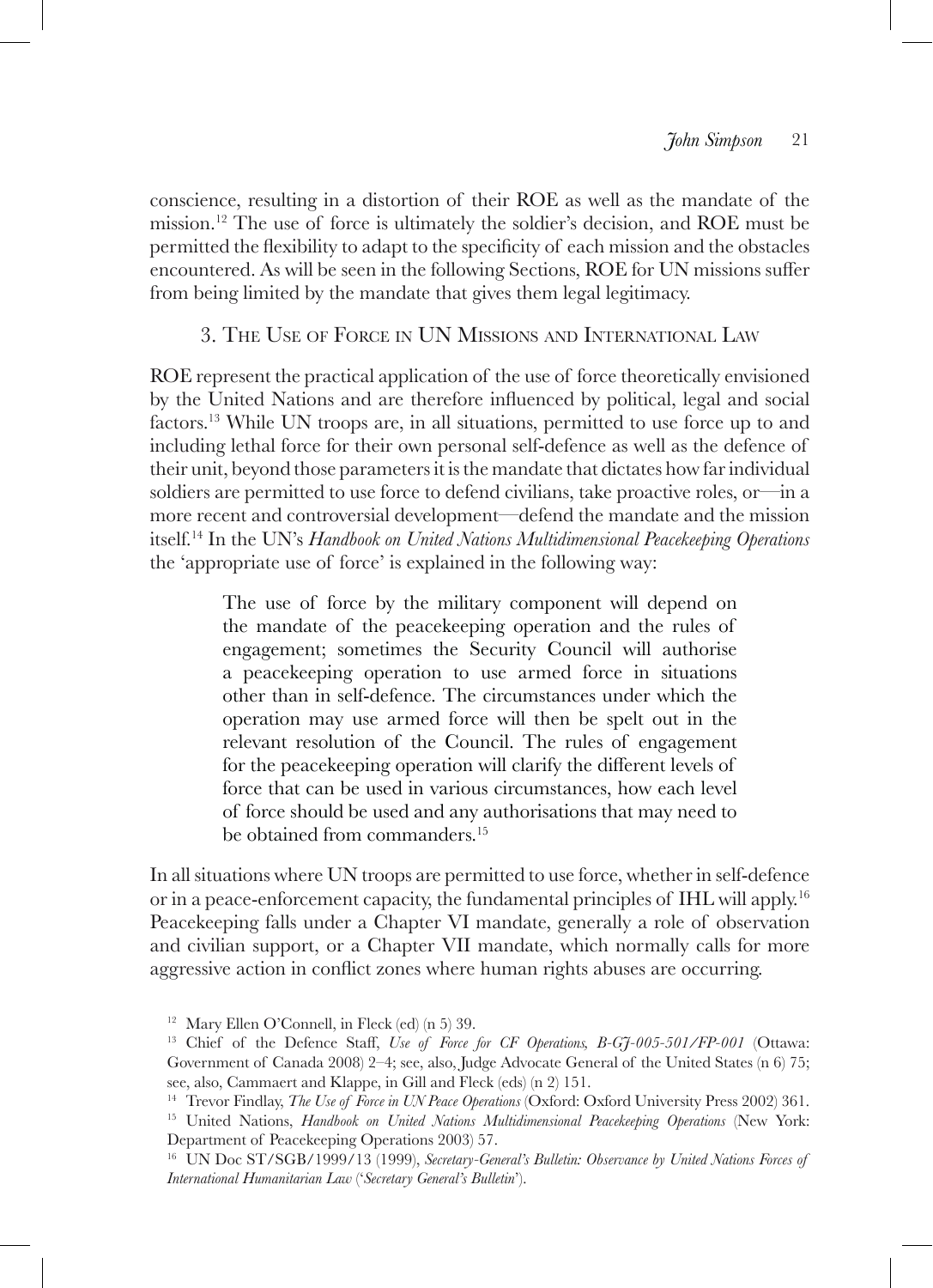conscience, resulting in a distortion of their ROE as well as the mandate of the mission.<sup>12</sup> The use of force is ultimately the soldier's decision, and ROE must be permitted the flexibility to adapt to the specificity of each mission and the obstacles encountered. As will be seen in the following Sections, ROE for UN missions suffer from being limited by the mandate that gives them legal legitimacy.

# 3. The Use of Force in UN Missions and International Law

ROE represent the practical application of the use of force theoretically envisioned by the United Nations and are therefore influenced by political, legal and social factors.13 While UN troops are, in all situations, permitted to use force up to and including lethal force for their own personal self-defence as well as the defence of their unit, beyond those parameters it is the mandate that dictates how far individual soldiers are permitted to use force to defend civilians, take proactive roles, or—in a more recent and controversial development—defend the mandate and the mission itself.14 In the UN's *Handbook on United Nations Multidimensional Peacekeeping Operations* the 'appropriate use of force' is explained in the following way:

> The use of force by the military component will depend on the mandate of the peacekeeping operation and the rules of engagement; sometimes the Security Council will authorise a peacekeeping operation to use armed force in situations other than in self-defence. The circumstances under which the operation may use armed force will then be spelt out in the relevant resolution of the Council. The rules of engagement for the peacekeeping operation will clarify the different levels of force that can be used in various circumstances, how each level of force should be used and any authorisations that may need to be obtained from commanders.<sup>15</sup>

In all situations where UN troops are permitted to use force, whether in self-defence or in a peace-enforcement capacity, the fundamental principles of IHL will apply.16 Peacekeeping falls under a Chapter VI mandate, generally a role of observation and civilian support, or a Chapter VII mandate, which normally calls for more aggressive action in conflict zones where human rights abuses are occurring.

<sup>&</sup>lt;sup>12</sup> Mary Ellen O'Connell, in Fleck (ed) (n 5) 39.

<sup>&</sup>lt;sup>13</sup> Chief of the Defence Staff, *Use of Force for CF Operations, B-G*7-005-501/FP-001 (Ottawa: Government of Canada 2008) 2–4; see, also, Judge Advocate General of the United States (n 6) 75; see, also, Cammaert and Klappe, in Gill and Fleck (eds) (n 2) 151.

<sup>14</sup> Trevor Findlay, *The Use of Force in UN Peace Operations* (Oxford: Oxford University Press 2002) 361. 15 United Nations, *Handbook on United Nations Multidimensional Peacekeeping Operations* (New York:

Department of Peacekeeping Operations 2003) 57.

<sup>16</sup> UN Doc ST/SGB/1999/13 (1999), *Secretary-General's Bulletin: Observance by United Nations Forces of International Humanitarian Law* ('*Secretary General's Bulletin*').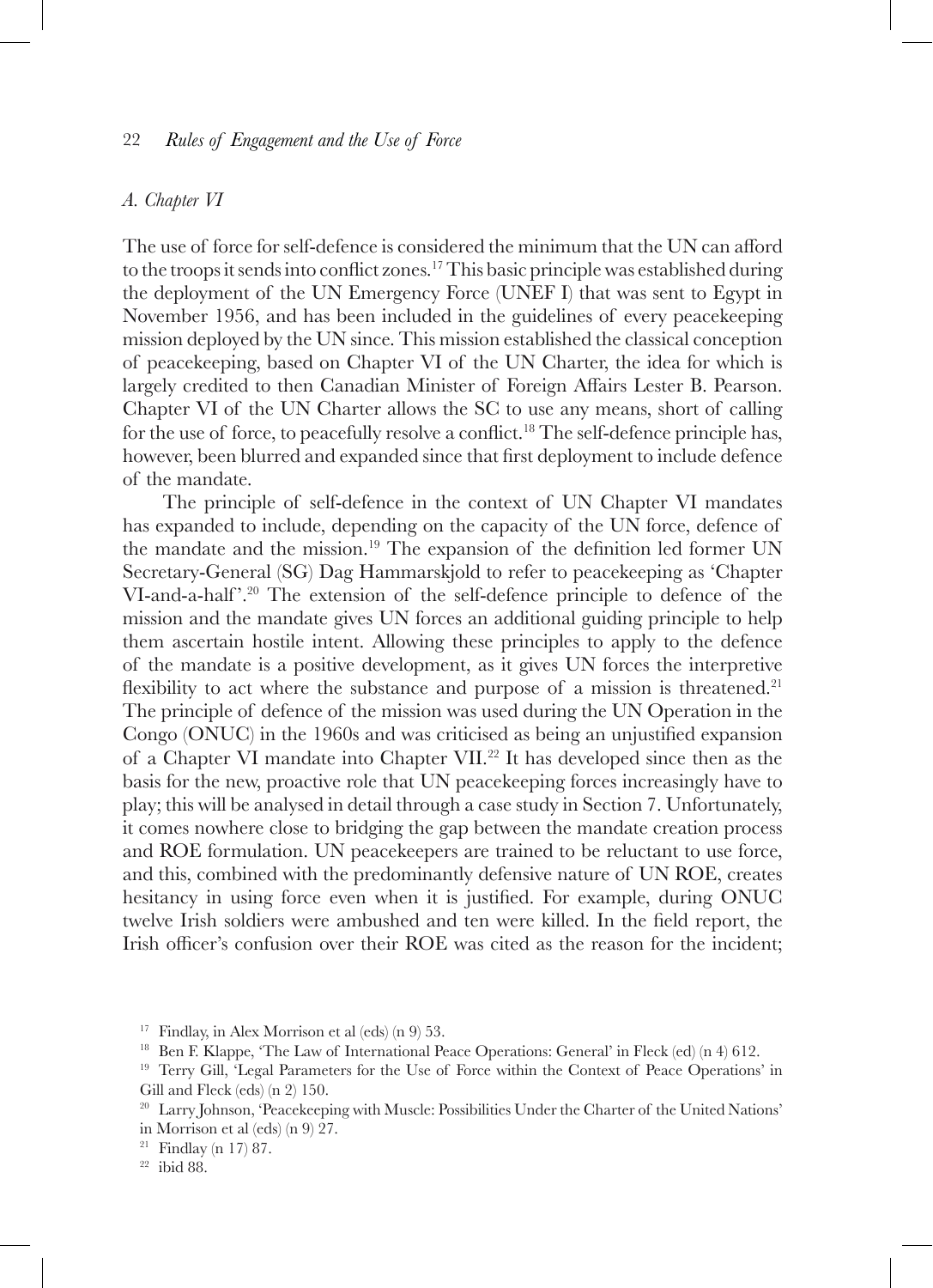### *A. Chapter VI*

The use of force for self-defence is considered the minimum that the UN can afford to the troops it sends into conflict zones.17 This basic principle was established during the deployment of the UN Emergency Force (UNEF I) that was sent to Egypt in November 1956, and has been included in the guidelines of every peacekeeping mission deployed by the UN since. This mission established the classical conception of peacekeeping, based on Chapter VI of the UN Charter, the idea for which is largely credited to then Canadian Minister of Foreign Affairs Lester B. Pearson. Chapter VI of the UN Charter allows the SC to use any means, short of calling for the use of force, to peacefully resolve a conflict.<sup>18</sup> The self-defence principle has, however, been blurred and expanded since that first deployment to include defence of the mandate.

The principle of self-defence in the context of UN Chapter VI mandates has expanded to include, depending on the capacity of the UN force, defence of the mandate and the mission.19 The expansion of the definition led former UN Secretary-General (SG) Dag Hammarskjold to refer to peacekeeping as 'Chapter VI-and-a-half '.20 The extension of the self-defence principle to defence of the mission and the mandate gives UN forces an additional guiding principle to help them ascertain hostile intent. Allowing these principles to apply to the defence of the mandate is a positive development, as it gives UN forces the interpretive flexibility to act where the substance and purpose of a mission is threatened.<sup>21</sup> The principle of defence of the mission was used during the UN Operation in the Congo (ONUC) in the 1960s and was criticised as being an unjustified expansion of a Chapter VI mandate into Chapter VII.22 It has developed since then as the basis for the new, proactive role that UN peacekeeping forces increasingly have to play; this will be analysed in detail through a case study in Section 7. Unfortunately, it comes nowhere close to bridging the gap between the mandate creation process and ROE formulation. UN peacekeepers are trained to be reluctant to use force, and this, combined with the predominantly defensive nature of UN ROE, creates hesitancy in using force even when it is justified. For example, during ONUC twelve Irish soldiers were ambushed and ten were killed. In the field report, the Irish officer's confusion over their ROE was cited as the reason for the incident;

 $\!\!^{21}$  Findlay (n 17) 87.  $\!\!^{22}$ ibid 88.

<sup>&</sup>lt;sup>17</sup> Findlay, in Alex Morrison et al (eds) (n 9) 53.<br><sup>18</sup> Ben F. Klappe, 'The Law of International Peace Operations: General' in Fleck (ed) (n 4) 612.

<sup>19</sup> Terry Gill, 'Legal Parameters for the Use of Force within the Context of Peace Operations' in Gill and Fleck (eds) (n 2) 150.

<sup>&</sup>lt;sup>20</sup> Larry Johnson, 'Peacekeeping with Muscle: Possibilities Under the Charter of the United Nations' in Morrison et al (eds) (n 9) 27.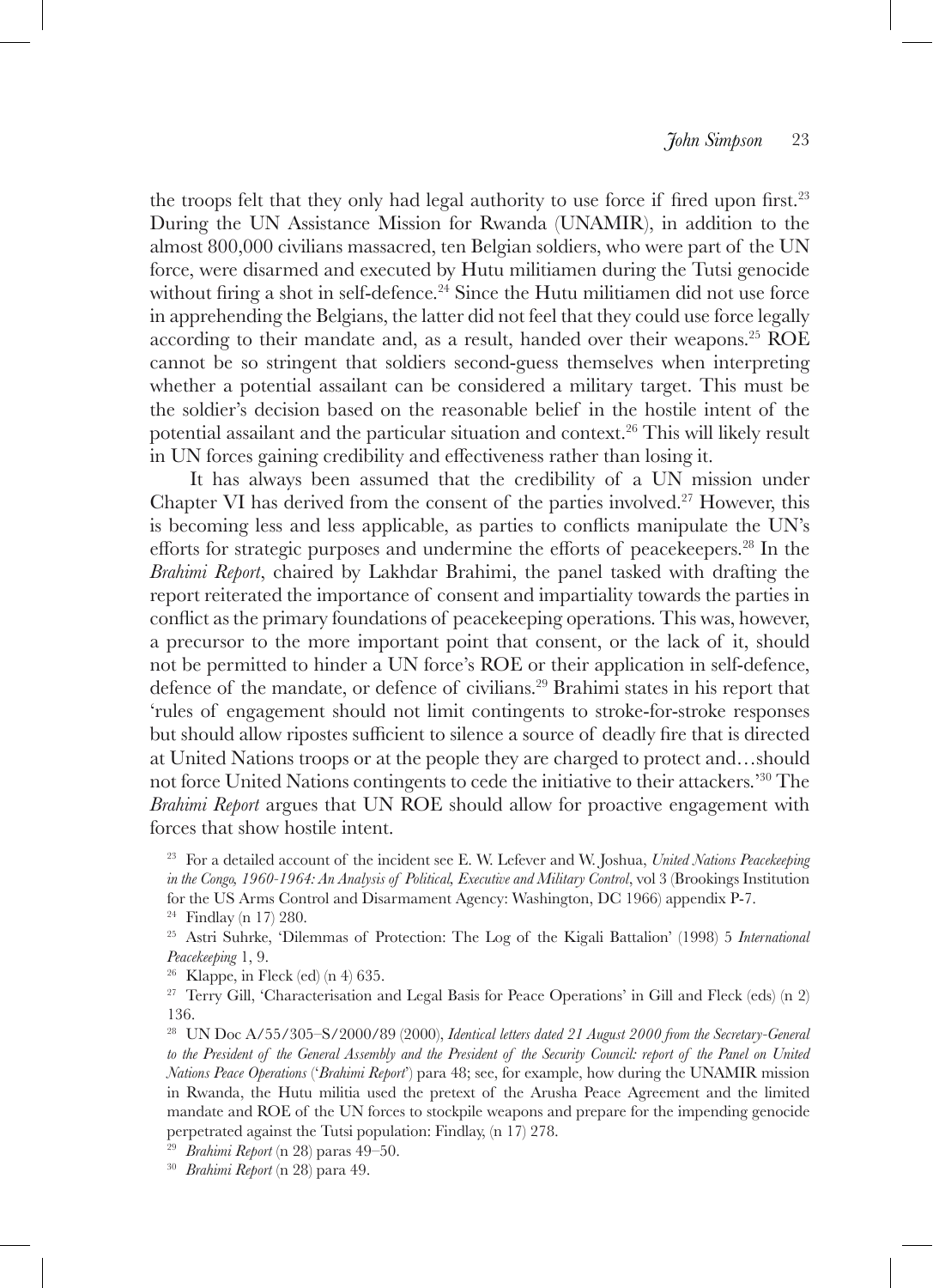the troops felt that they only had legal authority to use force if fired upon first.<sup>23</sup> During the UN Assistance Mission for Rwanda (UNAMIR), in addition to the almost 800,000 civilians massacred, ten Belgian soldiers, who were part of the UN force, were disarmed and executed by Hutu militiamen during the Tutsi genocide without firing a shot in self-defence.<sup>24</sup> Since the Hutu militiamen did not use force in apprehending the Belgians, the latter did not feel that they could use force legally according to their mandate and, as a result, handed over their weapons.25 ROE cannot be so stringent that soldiers second-guess themselves when interpreting whether a potential assailant can be considered a military target. This must be the soldier's decision based on the reasonable belief in the hostile intent of the potential assailant and the particular situation and context.26 This will likely result in UN forces gaining credibility and effectiveness rather than losing it.

It has always been assumed that the credibility of a UN mission under Chapter VI has derived from the consent of the parties involved.<sup>27</sup> However, this is becoming less and less applicable, as parties to conflicts manipulate the UN's efforts for strategic purposes and undermine the efforts of peacekeepers.<sup>28</sup> In the *Brahimi Report*, chaired by Lakhdar Brahimi, the panel tasked with drafting the report reiterated the importance of consent and impartiality towards the parties in conflict as the primary foundations of peacekeeping operations. This was, however, a precursor to the more important point that consent, or the lack of it, should not be permitted to hinder a UN force's ROE or their application in self-defence, defence of the mandate, or defence of civilians.29 Brahimi states in his report that 'rules of engagement should not limit contingents to stroke-for-stroke responses but should allow ripostes sufficient to silence a source of deadly fire that is directed at United Nations troops or at the people they are charged to protect and…should not force United Nations contingents to cede the initiative to their attackers.'30 The *Brahimi Report* argues that UN ROE should allow for proactive engagement with forces that show hostile intent.

<sup>23</sup> For a detailed account of the incident see E. W. Lefever and W. Joshua, *United Nations Peacekeeping in the Congo, 1960-1964: An Analysis of Political, Executive and Military Control*, vol 3 (Brookings Institution for the US Arms Control and Disarmament Agency: Washington, DC 1966) appendix P-7.

<sup>24</sup> Findlay (n 17) 280. 25 Astri Suhrke, 'Dilemmas of Protection: The Log of the Kigali Battalion' (1998) 5 *International Peacekeeping* 1, 9.<br><sup>26</sup> Klappe, in Fleck (ed) (n 4) 635.<br><sup>27</sup> Terry Gill, 'Characterisation and Legal Basis for Peace Operations' in Gill and Fleck (eds) (n 2)

136.

<sup>28</sup> UN Doc A/55/305-S/2000/89 (2000), *Identical letters dated 21 August 2000 from the Secretary-General to the President of the General Assembly and the President of the Security Council: report of the Panel on United Nations Peace Operations* ('*Brahimi Report*') para 48; see, for example, how during the UNAMIR mission in Rwanda, the Hutu militia used the pretext of the Arusha Peace Agreement and the limited mandate and ROE of the UN forces to stockpile weapons and prepare for the impending genocide perpetrated against the Tutsi population: Findlay, (n 17) 278.

<sup>29</sup> *Brahimi Report* (n 28) paras 49–50.

<sup>30</sup> *Brahimi Report* (n 28) para 49.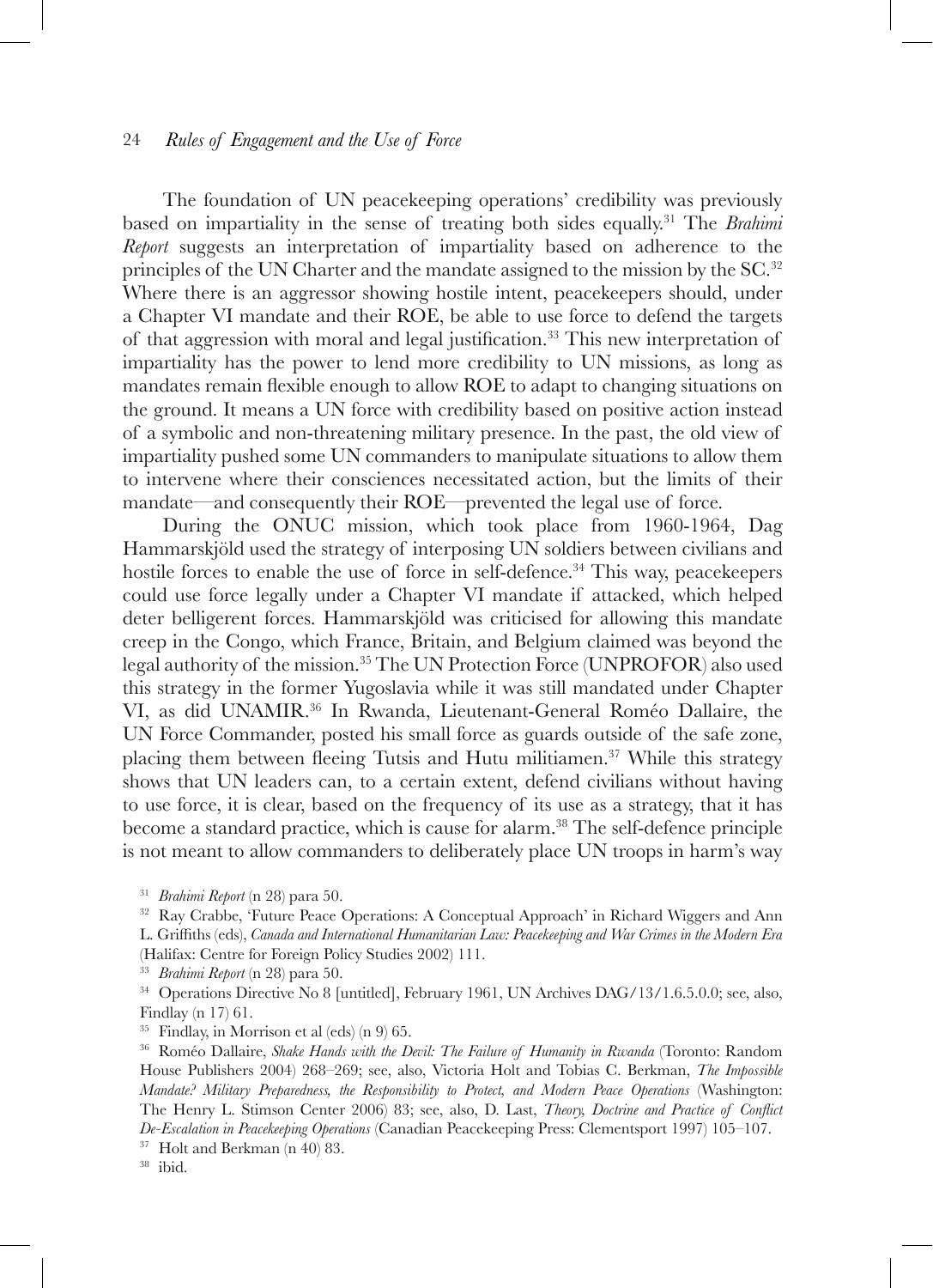The foundation of UN peacekeeping operations' credibility was previously based on impartiality in the sense of treating both sides equally.31 The *Brahimi Report* suggests an interpretation of impartiality based on adherence to the principles of the UN Charter and the mandate assigned to the mission by the SC.32 Where there is an aggressor showing hostile intent, peacekeepers should, under a Chapter VI mandate and their ROE, be able to use force to defend the targets of that aggression with moral and legal justification.33 This new interpretation of impartiality has the power to lend more credibility to UN missions, as long as mandates remain flexible enough to allow ROE to adapt to changing situations on the ground. It means a UN force with credibility based on positive action instead of a symbolic and non-threatening military presence. In the past, the old view of impartiality pushed some UN commanders to manipulate situations to allow them to intervene where their consciences necessitated action, but the limits of their mandate—and consequently their ROE—prevented the legal use of force.

During the ONUC mission, which took place from 1960-1964, Dag Hammarskjöld used the strategy of interposing UN soldiers between civilians and hostile forces to enable the use of force in self-defence.<sup>34</sup> This way, peacekeepers could use force legally under a Chapter VI mandate if attacked, which helped deter belligerent forces. Hammarskjöld was criticised for allowing this mandate creep in the Congo, which France, Britain, and Belgium claimed was beyond the legal authority of the mission.35 The UN Protection Force (UNPROFOR) also used this strategy in the former Yugoslavia while it was still mandated under Chapter VI, as did UNAMIR.36 In Rwanda, Lieutenant-General Roméo Dallaire, the UN Force Commander, posted his small force as guards outside of the safe zone, placing them between fleeing Tutsis and Hutu militiamen.37 While this strategy shows that UN leaders can, to a certain extent, defend civilians without having to use force, it is clear, based on the frequency of its use as a strategy, that it has become a standard practice, which is cause for alarm.<sup>38</sup> The self-defence principle is not meant to allow commanders to deliberately place UN troops in harm's way

<sup>31</sup> *Brahimi Report* (n 28) para 50.

<sup>32</sup> Ray Crabbe, 'Future Peace Operations: A Conceptual Approach' in Richard Wiggers and Ann L. Griffiths (eds), *Canada and International Humanitarian Law: Peacekeeping and War Crimes in the Modern Era* (Halifax: Centre for Foreign Policy Studies 2002) 111.

<sup>&</sup>lt;sup>33</sup> *Brahimi Report* (n 28) para 50.<br><sup>34</sup> Operations Directive No 8 [untitled], February 1961, UN Archives DAG/13/1.6.5.0.0; see, also, Findlay (n 17) 61.

<sup>35</sup> Findlay, in Morrison et al (eds) (n 9) 65.

<sup>36</sup> Roméo Dallaire, *Shake Hands with the Devil: The Failure of Humanity in Rwanda* (Toronto: Random House Publishers 2004) 268–269; see, also, Victoria Holt and Tobias C. Berkman, *The Impossible Mandate? Military Preparedness, the Responsibility to Protect, and Modern Peace Operations* (Washington: The Henry L. Stimson Center 2006) 83; see, also, D. Last, *Theory, Doctrine and Practice of Conflict De-Escalation in Peacekeeping Operations* (Canadian Peacekeeping Press: Clementsport 1997) 105–107. 37 Holt and Berkman (n 40) 83. 38 ibid.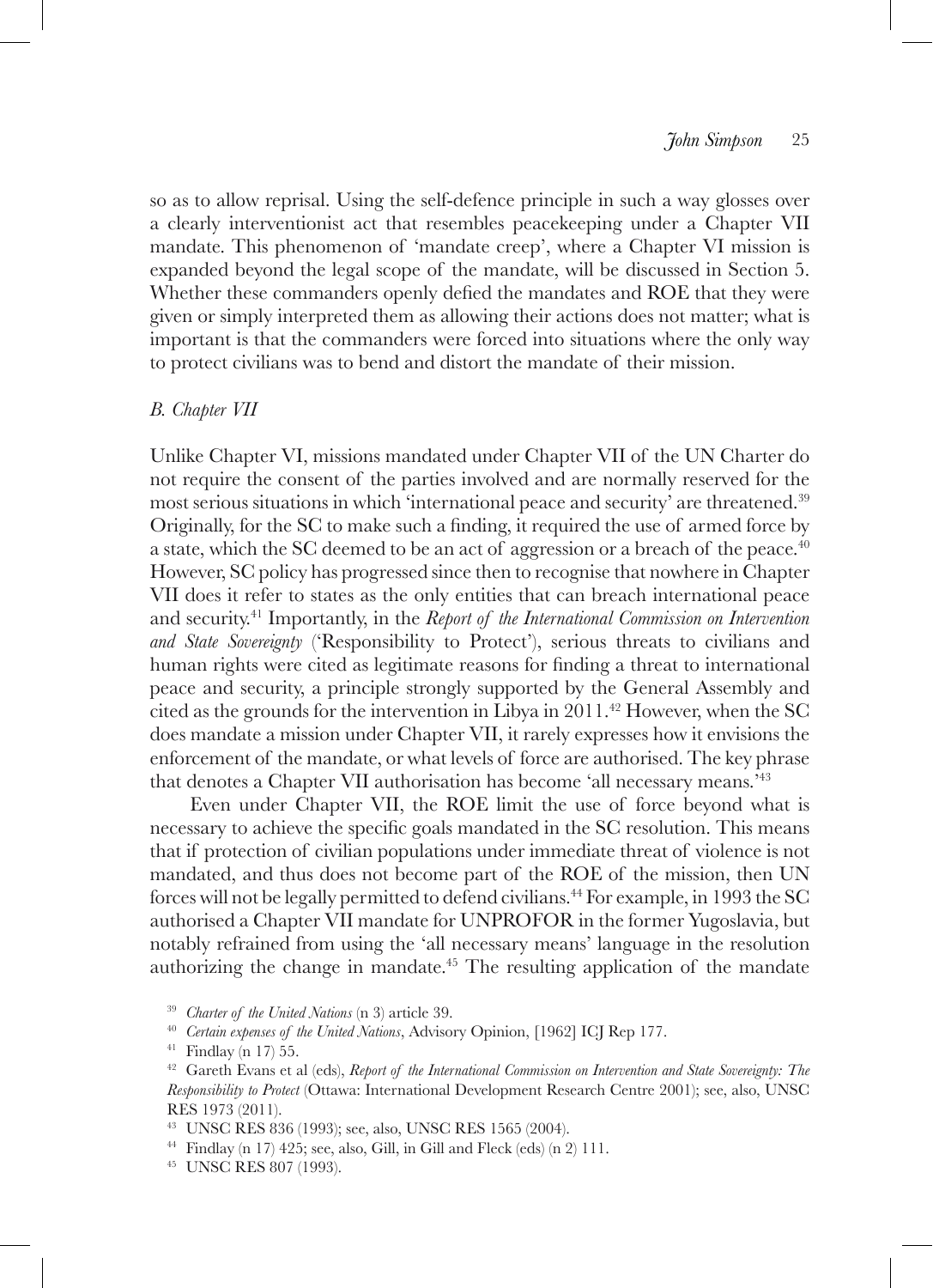so as to allow reprisal. Using the self-defence principle in such a way glosses over a clearly interventionist act that resembles peacekeeping under a Chapter VII mandate. This phenomenon of 'mandate creep', where a Chapter VI mission is expanded beyond the legal scope of the mandate, will be discussed in Section 5. Whether these commanders openly defied the mandates and ROE that they were given or simply interpreted them as allowing their actions does not matter; what is important is that the commanders were forced into situations where the only way to protect civilians was to bend and distort the mandate of their mission.

### *B. Chapter VII*

Unlike Chapter VI, missions mandated under Chapter VII of the UN Charter do not require the consent of the parties involved and are normally reserved for the most serious situations in which 'international peace and security' are threatened.39 Originally, for the SC to make such a finding, it required the use of armed force by a state, which the SC deemed to be an act of aggression or a breach of the peace.<sup>40</sup> However, SC policy has progressed since then to recognise that nowhere in Chapter VII does it refer to states as the only entities that can breach international peace and security.41 Importantly, in the *Report of the International Commission on Intervention and State Sovereignty* ('Responsibility to Protect'), serious threats to civilians and human rights were cited as legitimate reasons for finding a threat to international peace and security, a principle strongly supported by the General Assembly and cited as the grounds for the intervention in Libya in 2011.<sup>42</sup> However, when the SC does mandate a mission under Chapter VII, it rarely expresses how it envisions the enforcement of the mandate, or what levels of force are authorised. The key phrase that denotes a Chapter VII authorisation has become 'all necessary means.'43

Even under Chapter VII, the ROE limit the use of force beyond what is necessary to achieve the specific goals mandated in the SC resolution. This means that if protection of civilian populations under immediate threat of violence is not mandated, and thus does not become part of the ROE of the mission, then UN forces will not be legally permitted to defend civilians.44 For example, in 1993 the SC authorised a Chapter VII mandate for UNPROFOR in the former Yugoslavia, but notably refrained from using the 'all necessary means' language in the resolution authorizing the change in mandate.<sup> $45$ </sup> The resulting application of the mandate

<sup>39</sup> *Charter of the United Nations* (n 3) article 39.<br><sup>40</sup> *Certain expenses of the United Nations*, Advisory Opinion, [1962] ICJ Rep 177.

 $^{44}$  Findlay (n 17) 425; see, also, Gill, in Gill and Fleck (eds) (n 2) 111.  $^{45}$  UNSC RES 807 (1993).

<sup>&</sup>lt;sup>41</sup> Findlay (n 17) 55.<br><sup>42</sup> Gareth Evans et al (eds), *Report of the International Commission on Intervention and State Sovereignty: The Responsibility to Protect* (Ottawa: International Development Research Centre 2001); see, also, UNSC RES 1973 (2011).

<sup>43</sup> UNSC RES 836 (1993); see, also, UNSC RES 1565 (2004).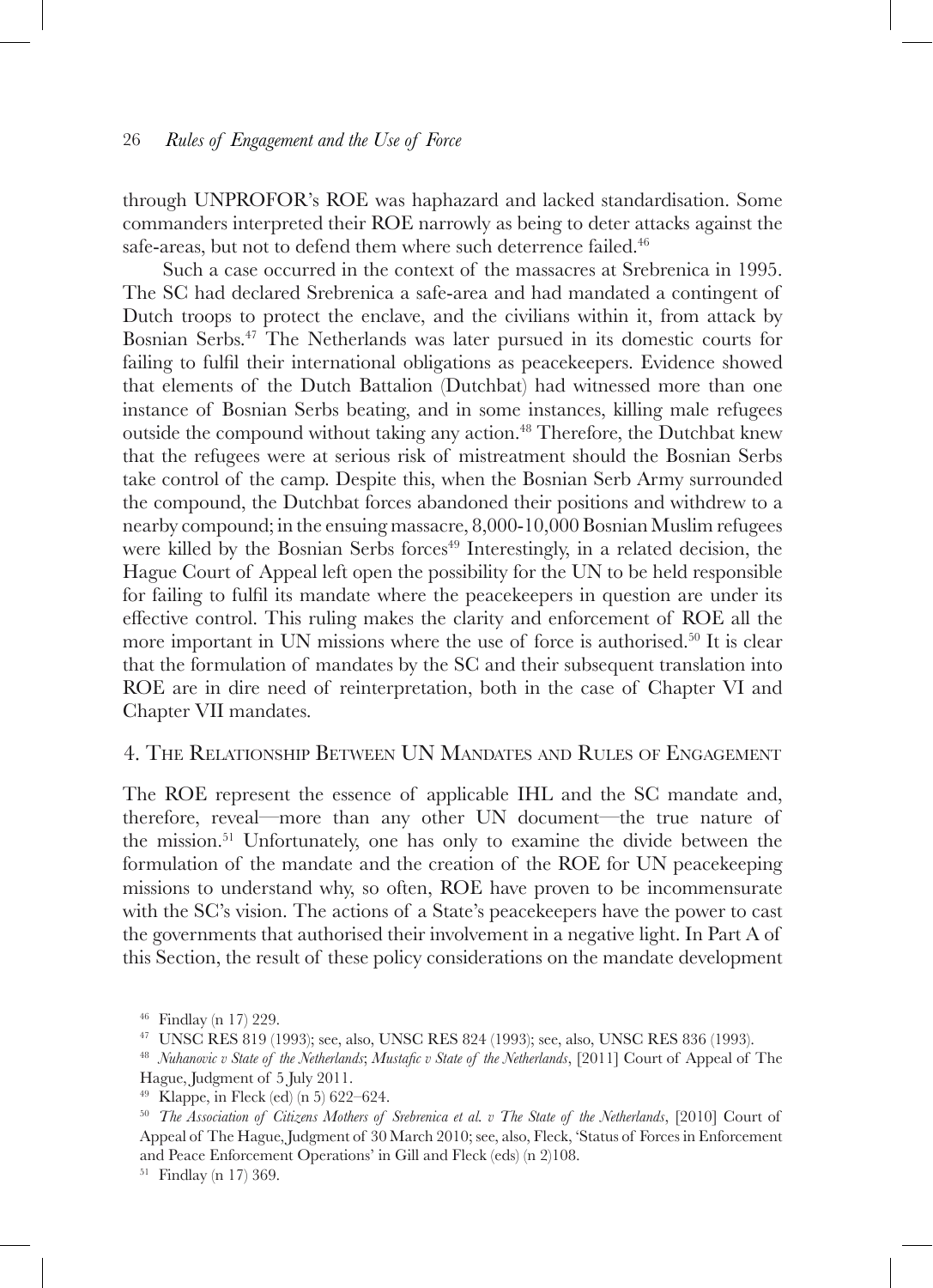through UNPROFOR's ROE was haphazard and lacked standardisation. Some commanders interpreted their ROE narrowly as being to deter attacks against the safe-areas, but not to defend them where such deterrence failed.<sup>46</sup>

Such a case occurred in the context of the massacres at Srebrenica in 1995. The SC had declared Srebrenica a safe-area and had mandated a contingent of Dutch troops to protect the enclave, and the civilians within it, from attack by Bosnian Serbs.47 The Netherlands was later pursued in its domestic courts for failing to fulfil their international obligations as peacekeepers. Evidence showed that elements of the Dutch Battalion (Dutchbat) had witnessed more than one instance of Bosnian Serbs beating, and in some instances, killing male refugees outside the compound without taking any action.<sup>48</sup> Therefore, the Dutchbat knew that the refugees were at serious risk of mistreatment should the Bosnian Serbs take control of the camp. Despite this, when the Bosnian Serb Army surrounded the compound, the Dutchbat forces abandoned their positions and withdrew to a nearby compound; in the ensuing massacre, 8,000-10,000 Bosnian Muslim refugees were killed by the Bosnian Serbs forces<sup>49</sup> Interestingly, in a related decision, the Hague Court of Appeal left open the possibility for the UN to be held responsible for failing to fulfil its mandate where the peacekeepers in question are under its effective control. This ruling makes the clarity and enforcement of ROE all the more important in UN missions where the use of force is authorised.50 It is clear that the formulation of mandates by the SC and their subsequent translation into ROE are in dire need of reinterpretation, both in the case of Chapter VI and Chapter VII mandates.

# 4. The Relationship Between UN Mandates and Rules of Engagement

The ROE represent the essence of applicable IHL and the SC mandate and, therefore, reveal—more than any other UN document—the true nature of the mission.51 Unfortunately, one has only to examine the divide between the formulation of the mandate and the creation of the ROE for UN peacekeeping missions to understand why, so often, ROE have proven to be incommensurate with the SC's vision. The actions of a State's peacekeepers have the power to cast the governments that authorised their involvement in a negative light. In Part A of this Section, the result of these policy considerations on the mandate development

<sup>&</sup>lt;sup>46</sup> Findlay (n 17) 229.<br><sup>47</sup> UNSC RES 819 (1993); see, also, UNSC RES 824 (1993); see, also, UNSC RES 836 (1993).<br><sup>48</sup> *Nuhanovic v State of the Netherlands; Mustafic v State of the Netherlands*, [2011] Court of Appeal o Hague, Judgment of 5 July 2011.

<sup>&</sup>lt;sup>49</sup> Klappe, in Fleck (ed) (n 5) 622–624.<br><sup>50</sup> *The Association of Citizens Mothers of Srebrenica et al. v The State of the Netherlands*, [2010] Court of Appeal of The Hague, Judgment of 30 March 2010; see, also, Fleck, 'Status of Forces in Enforcement and Peace Enforcement Operations' in Gill and Fleck (eds) (n 2)108.

<sup>51</sup> Findlay (n 17) 369.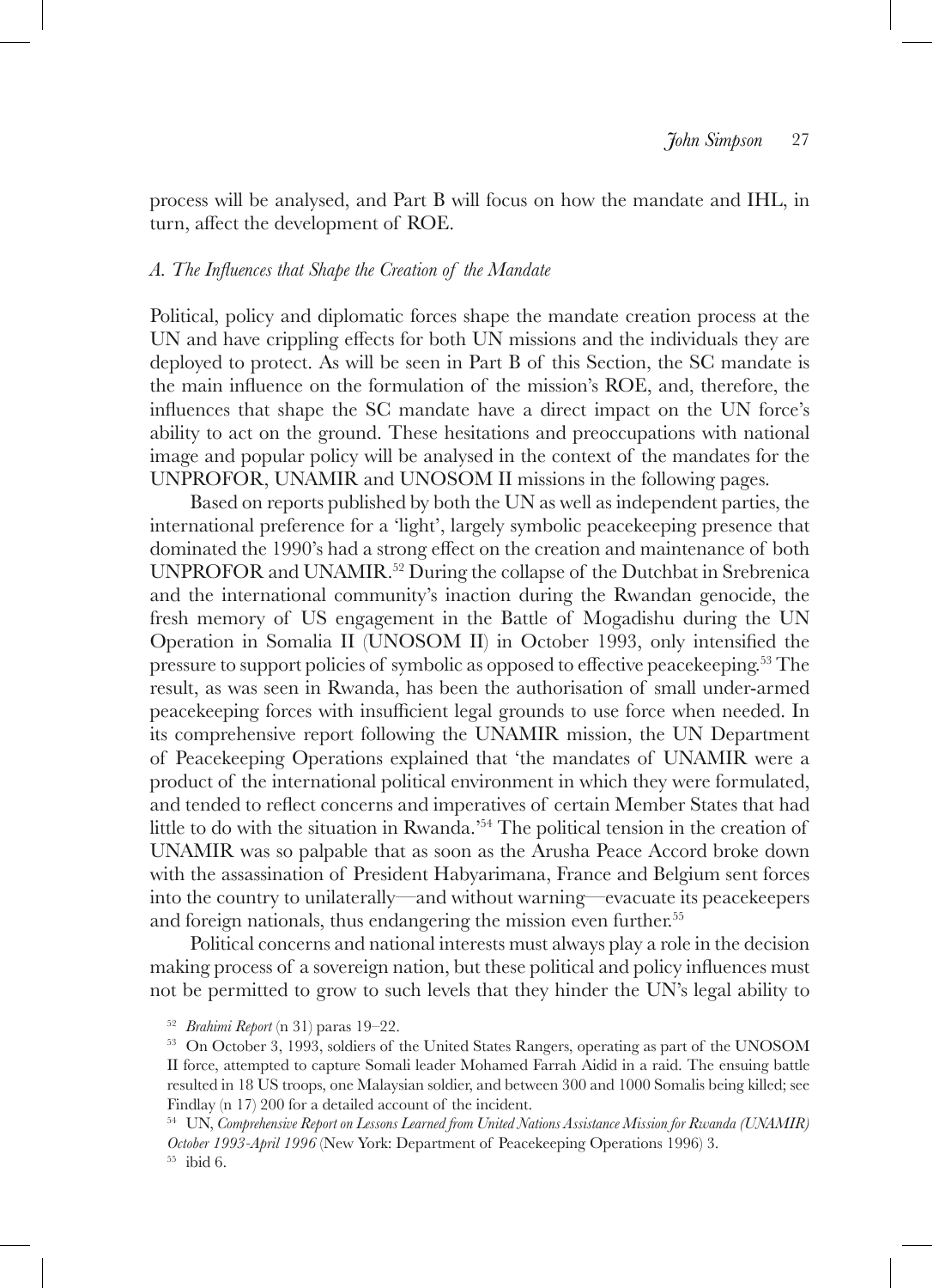process will be analysed, and Part B will focus on how the mandate and IHL, in turn, affect the development of ROE.

### *A. The Influences that Shape the Creation of the Mandate*

Political, policy and diplomatic forces shape the mandate creation process at the UN and have crippling effects for both UN missions and the individuals they are deployed to protect. As will be seen in Part B of this Section, the SC mandate is the main influence on the formulation of the mission's ROE, and, therefore, the influences that shape the SC mandate have a direct impact on the UN force's ability to act on the ground. These hesitations and preoccupations with national image and popular policy will be analysed in the context of the mandates for the UNPROFOR, UNAMIR and UNOSOM II missions in the following pages.

Based on reports published by both the UN as well as independent parties, the international preference for a 'light', largely symbolic peacekeeping presence that dominated the 1990's had a strong effect on the creation and maintenance of both UNPROFOR and UNAMIR.<sup>52</sup> During the collapse of the Dutchbat in Srebrenica and the international community's inaction during the Rwandan genocide, the fresh memory of US engagement in the Battle of Mogadishu during the UN Operation in Somalia II (UNOSOM II) in October 1993, only intensified the pressure to support policies of symbolic as opposed to effective peacekeeping.53 The result, as was seen in Rwanda, has been the authorisation of small under-armed peacekeeping forces with insufficient legal grounds to use force when needed. In its comprehensive report following the UNAMIR mission, the UN Department of Peacekeeping Operations explained that 'the mandates of UNAMIR were a product of the international political environment in which they were formulated, and tended to reflect concerns and imperatives of certain Member States that had little to do with the situation in Rwanda.'54 The political tension in the creation of UNAMIR was so palpable that as soon as the Arusha Peace Accord broke down with the assassination of President Habyarimana, France and Belgium sent forces into the country to unilaterally—and without warning—evacuate its peacekeepers and foreign nationals, thus endangering the mission even further.<sup>55</sup>

Political concerns and national interests must always play a role in the decision making process of a sovereign nation, but these political and policy influences must not be permitted to grow to such levels that they hinder the UN's legal ability to

<sup>&</sup>lt;sup>52</sup> *Brahimi Report* (n 31) paras 19–22.<br><sup>53</sup> On October 3, 1993, soldiers of the United States Rangers, operating as part of the UNOSOM II force, attempted to capture Somali leader Mohamed Farrah Aidid in a raid. The ensuing battle resulted in 18 US troops, one Malaysian soldier, and between 300 and 1000 Somalis being killed; see Findlay (n 17) 200 for a detailed account of the incident.

<sup>54</sup> UN, *Comprehensive Report on Lessons Learned from United Nations Assistance Mission for Rwanda (UNAMIR) October 1993-April 1996* (New York: Department of Peacekeeping Operations 1996) 3. 55 ibid 6.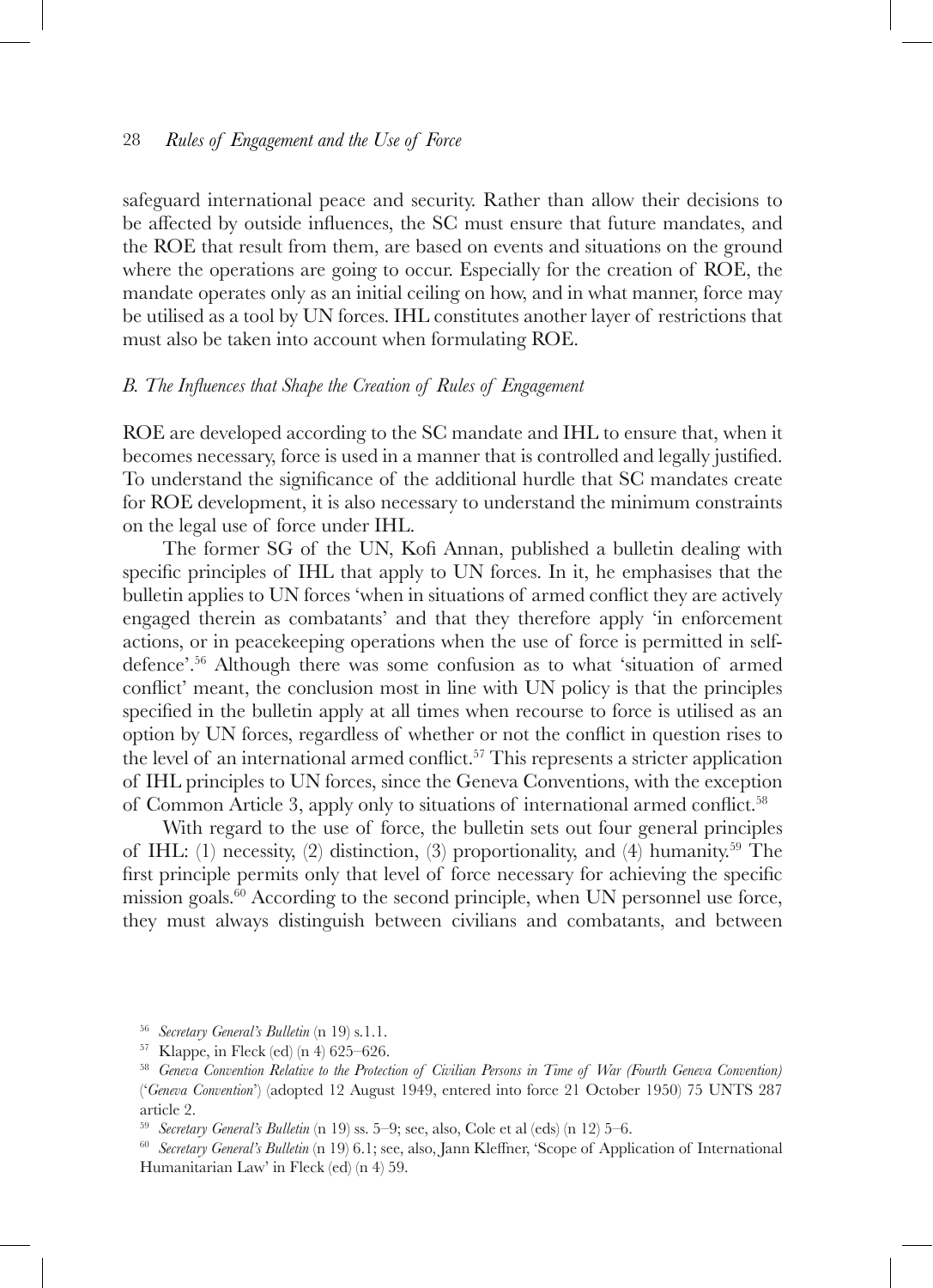safeguard international peace and security. Rather than allow their decisions to be affected by outside influences, the SC must ensure that future mandates, and the ROE that result from them, are based on events and situations on the ground where the operations are going to occur. Especially for the creation of ROE, the mandate operates only as an initial ceiling on how, and in what manner, force may be utilised as a tool by UN forces. IHL constitutes another layer of restrictions that must also be taken into account when formulating ROE.

### *B. The Influences that Shape the Creation of Rules of Engagement*

ROE are developed according to the SC mandate and IHL to ensure that, when it becomes necessary, force is used in a manner that is controlled and legally justified. To understand the significance of the additional hurdle that SC mandates create for ROE development, it is also necessary to understand the minimum constraints on the legal use of force under IHL.

The former SG of the UN, Kofi Annan, published a bulletin dealing with specific principles of IHL that apply to UN forces. In it, he emphasises that the bulletin applies to UN forces 'when in situations of armed conflict they are actively engaged therein as combatants' and that they therefore apply 'in enforcement actions, or in peacekeeping operations when the use of force is permitted in selfdefence'.56 Although there was some confusion as to what 'situation of armed conflict' meant, the conclusion most in line with UN policy is that the principles specified in the bulletin apply at all times when recourse to force is utilised as an option by UN forces, regardless of whether or not the conflict in question rises to the level of an international armed conflict.<sup>57</sup> This represents a stricter application of IHL principles to UN forces, since the Geneva Conventions, with the exception of Common Article 3, apply only to situations of international armed conflict.<sup>58</sup>

With regard to the use of force, the bulletin sets out four general principles of IHL: (1) necessity, (2) distinction, (3) proportionality, and (4) humanity.<sup>59</sup> The first principle permits only that level of force necessary for achieving the specific mission goals. $60$  According to the second principle, when UN personnel use force, they must always distinguish between civilians and combatants, and between

<sup>&</sup>lt;sup>56</sup> *Secretary General's Bulletin* (n 19) s.1.1.<br><sup>57</sup> Klappe, in Fleck (ed) (n 4) 625–626.<br><sup>58</sup> *Geneva Convention Relative to the Protection of Civilian Persons in Time of War (Fourth Geneva Convention)* ('*Geneva Convention*') (adopted 12 August 1949, entered into force 21 October 1950) 75 UNTS 287 article 2.

<sup>59</sup> *Secretary General's Bulletin* (n 19) ss. 5–9; see, also, Cole et al (eds) (n 12) 5–6.

<sup>60</sup> *Secretary General's Bulletin* (n 19) 6.1; see, also, Jann Kleffner, 'Scope of Application of International Humanitarian Law' in Fleck (ed) (n 4) 59.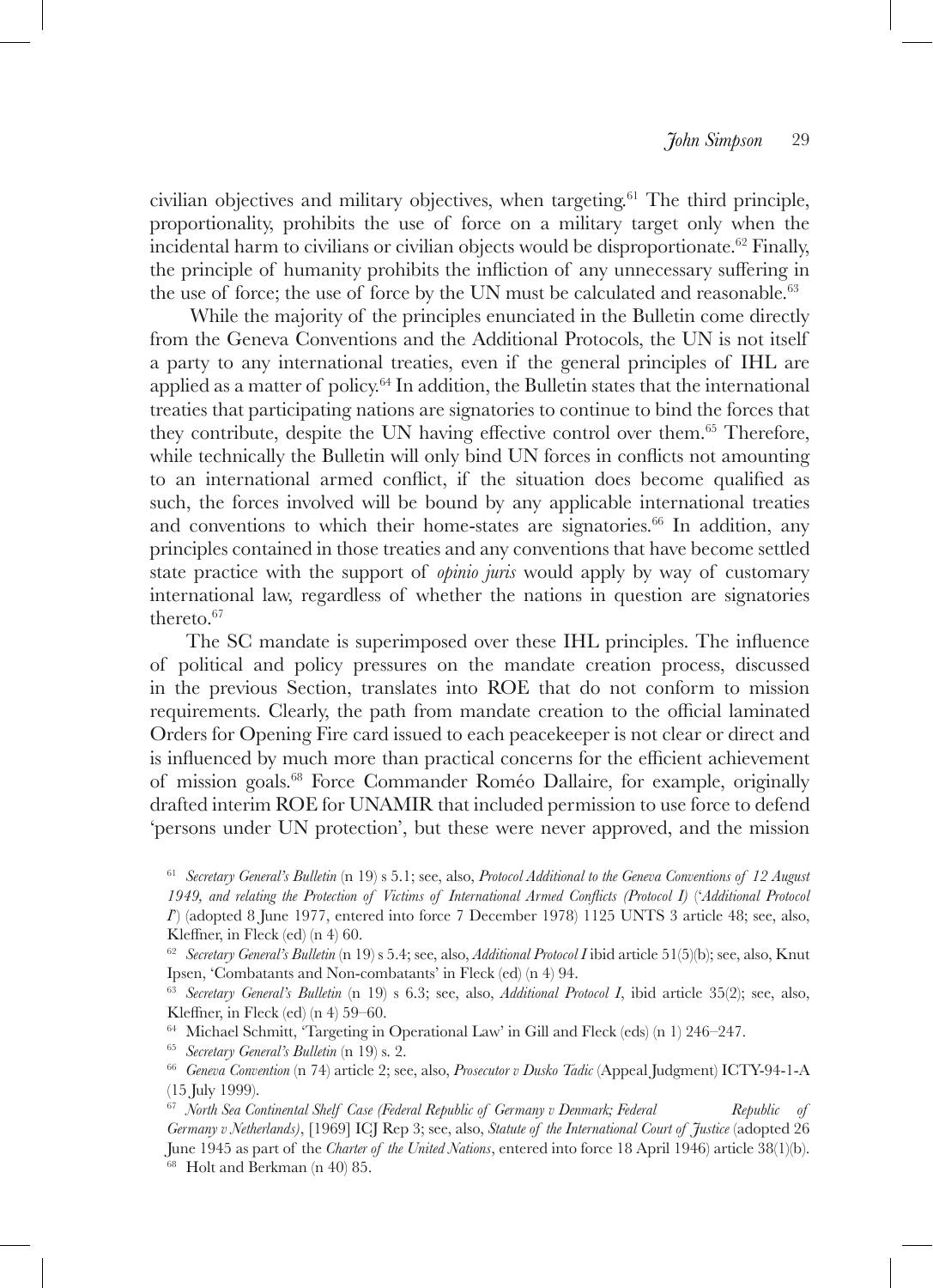civilian objectives and military objectives, when targeting.61 The third principle, proportionality, prohibits the use of force on a military target only when the incidental harm to civilians or civilian objects would be disproportionate.<sup>62</sup> Finally, the principle of humanity prohibits the infliction of any unnecessary suffering in the use of force; the use of force by the UN must be calculated and reasonable.<sup>63</sup>

While the majority of the principles enunciated in the Bulletin come directly from the Geneva Conventions and the Additional Protocols, the UN is not itself a party to any international treaties, even if the general principles of IHL are applied as a matter of policy. $64$  In addition, the Bulletin states that the international treaties that participating nations are signatories to continue to bind the forces that they contribute, despite the UN having effective control over them.65 Therefore, while technically the Bulletin will only bind UN forces in conflicts not amounting to an international armed conflict, if the situation does become qualified as such, the forces involved will be bound by any applicable international treaties and conventions to which their home-states are signatories.<sup>66</sup> In addition, any principles contained in those treaties and any conventions that have become settled state practice with the support of *opinio juris* would apply by way of customary international law, regardless of whether the nations in question are signatories thereto.67

The SC mandate is superimposed over these IHL principles. The influence of political and policy pressures on the mandate creation process, discussed in the previous Section, translates into ROE that do not conform to mission requirements. Clearly, the path from mandate creation to the official laminated Orders for Opening Fire card issued to each peacekeeper is not clear or direct and is influenced by much more than practical concerns for the efficient achievement of mission goals.68 Force Commander Roméo Dallaire, for example, originally drafted interim ROE for UNAMIR that included permission to use force to defend 'persons under UN protection', but these were never approved, and the mission

<sup>61</sup> *Secretary General's Bulletin* (n 19) s 5.1; see, also, *Protocol Additional to the Geneva Conventions of 12 August 1949, and relating the Protection of Victims of International Armed Conflicts (Protocol I)* ('*Additional Protocol I*') (adopted 8 June 1977, entered into force 7 December 1978) 1125 UNTS 3 article 48; see, also, Kleffner, in Fleck (ed) (n 4) 60.

<sup>62</sup> *Secretary General's Bulletin* (n 19) s 5.4; see, also, *Additional Protocol I* ibid article 51(5)(b); see, also, Knut Ipsen, 'Combatants and Non-combatants' in Fleck (ed) (n 4) 94.

<sup>63</sup> *Secretary General's Bulletin* (n 19) s 6.3; see, also, *Additional Protocol I*, ibid article 35(2); see, also, Kleffner, in Fleck (ed) (n 4) 59–60.

<sup>64</sup> Michael Schmitt, 'Targeting in Operational Law' in Gill and Fleck (eds) (n 1) 246–247. 65 *Secretary General's Bulletin* (n 19) s. 2.

<sup>66</sup> *Geneva Convention* (n 74) article 2; see, also, *Prosecutor v Dusko Tadic* (Appeal Judgment) ICTY-94-1-A (15 July 1999).

<sup>67</sup> *North Sea Continental Shelf Case (Federal Republic of Germany v Denmark; Federal Republic of Germany v Netherlands)*, [1969] ICJ Rep 3; see, also, *Statute of the International Court of Justice* (adopted 26 June 1945 as part of the *Charter of the United Nations*, entered into force 18 April 1946) article  $\overline{38}(1)(b)$ .<br><sup>68</sup> Holt and Berkman (n 40) 85.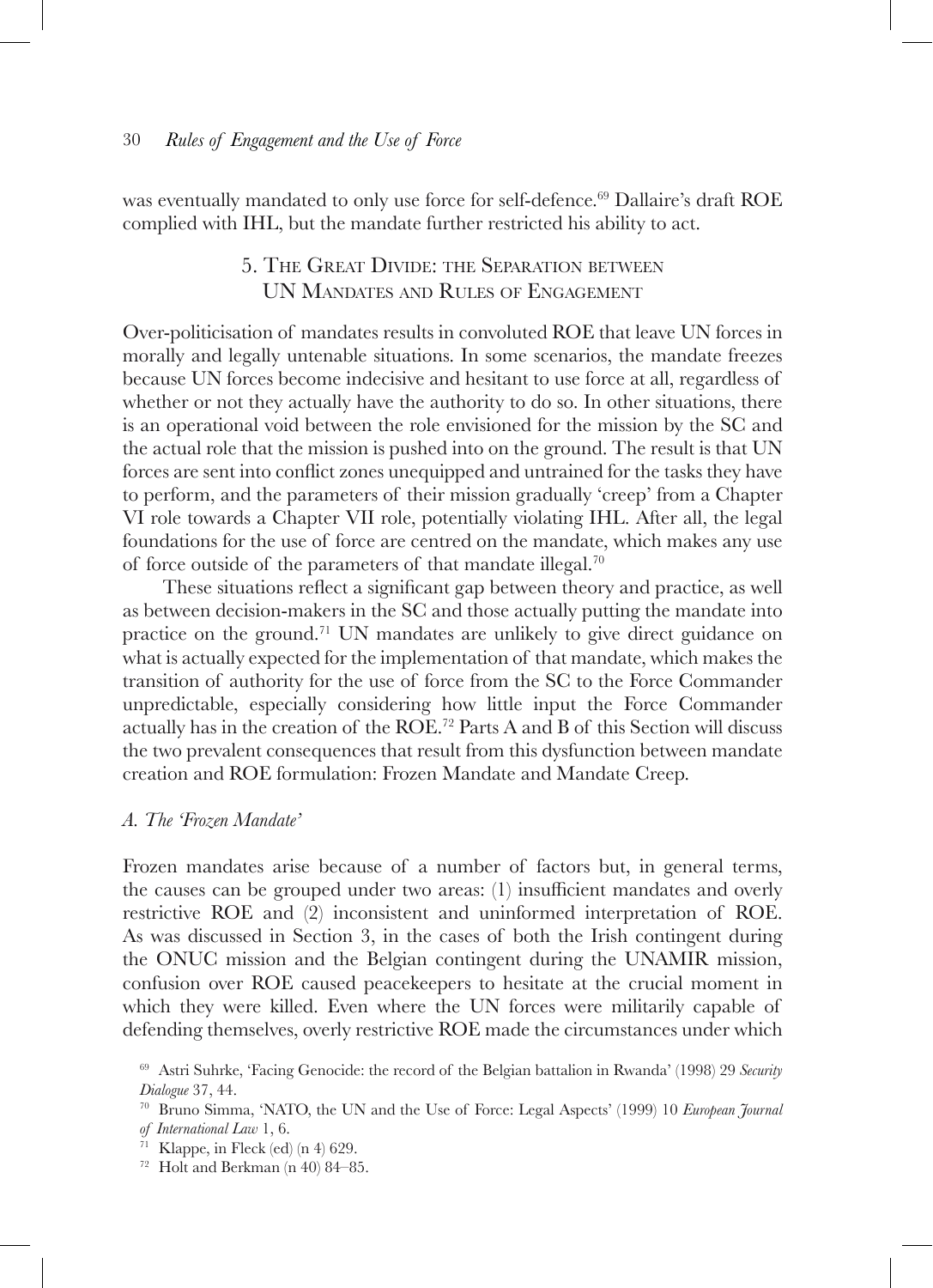was eventually mandated to only use force for self-defence.69 Dallaire's draft ROE complied with IHL, but the mandate further restricted his ability to act.

# 5. The Great Divide: the Separation between UN Mandates and Rules of Engagement

Over-politicisation of mandates results in convoluted ROE that leave UN forces in morally and legally untenable situations. In some scenarios, the mandate freezes because UN forces become indecisive and hesitant to use force at all, regardless of whether or not they actually have the authority to do so. In other situations, there is an operational void between the role envisioned for the mission by the SC and the actual role that the mission is pushed into on the ground. The result is that UN forces are sent into conflict zones unequipped and untrained for the tasks they have to perform, and the parameters of their mission gradually 'creep' from a Chapter VI role towards a Chapter VII role, potentially violating IHL. After all, the legal foundations for the use of force are centred on the mandate, which makes any use of force outside of the parameters of that mandate illegal.70

These situations reflect a significant gap between theory and practice, as well as between decision-makers in the SC and those actually putting the mandate into practice on the ground.71 UN mandates are unlikely to give direct guidance on what is actually expected for the implementation of that mandate, which makes the transition of authority for the use of force from the SC to the Force Commander unpredictable, especially considering how little input the Force Commander actually has in the creation of the ROE.72 Parts A and B of this Section will discuss the two prevalent consequences that result from this dysfunction between mandate creation and ROE formulation: Frozen Mandate and Mandate Creep.

### *A. The 'Frozen Mandate'*

Frozen mandates arise because of a number of factors but, in general terms, the causes can be grouped under two areas: (1) insufficient mandates and overly restrictive ROE and (2) inconsistent and uninformed interpretation of ROE. As was discussed in Section 3, in the cases of both the Irish contingent during the ONUC mission and the Belgian contingent during the UNAMIR mission, confusion over ROE caused peacekeepers to hesitate at the crucial moment in which they were killed. Even where the UN forces were militarily capable of defending themselves, overly restrictive ROE made the circumstances under which

<sup>69</sup> Astri Suhrke, 'Facing Genocide: the record of the Belgian battalion in Rwanda' (1998) 29 *Security Dialogue* 37, 44. 70 Bruno Simma, 'NATO, the UN and the Use of Force: Legal Aspects' (1999) 10 *European Journal* 

*of International Law* 1, 6.<br><sup>71</sup> Klappe, in Fleck (ed) (n 4) 629.<br><sup>72</sup> Holt and Berkman (n 40) 84–85.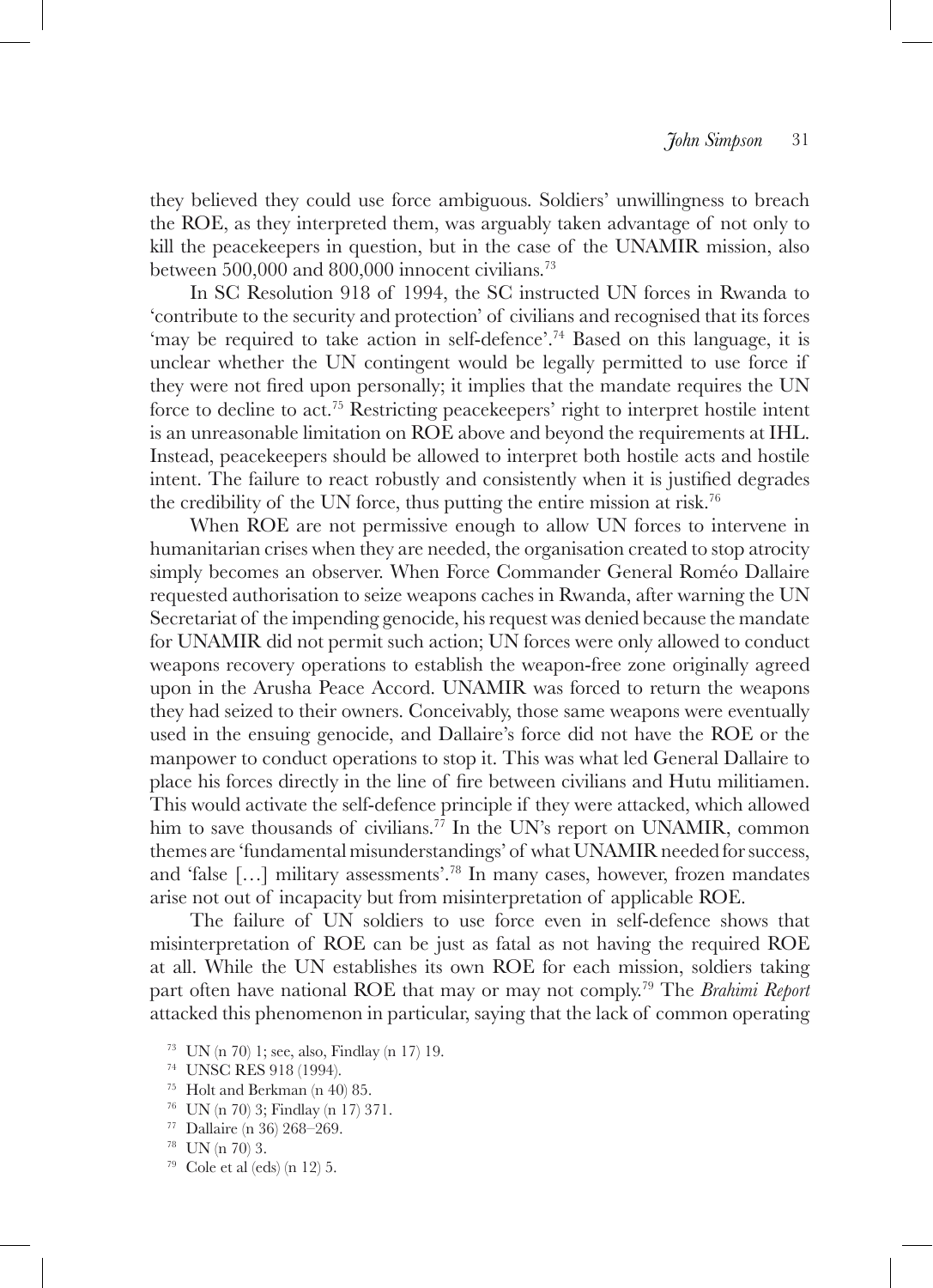they believed they could use force ambiguous. Soldiers' unwillingness to breach the ROE, as they interpreted them, was arguably taken advantage of not only to kill the peacekeepers in question, but in the case of the UNAMIR mission, also between 500,000 and 800,000 innocent civilians.73

In SC Resolution 918 of 1994, the SC instructed UN forces in Rwanda to 'contribute to the security and protection' of civilians and recognised that its forces 'may be required to take action in self-defence'.74 Based on this language, it is unclear whether the UN contingent would be legally permitted to use force if they were not fired upon personally; it implies that the mandate requires the UN force to decline to act.75 Restricting peacekeepers' right to interpret hostile intent is an unreasonable limitation on ROE above and beyond the requirements at IHL. Instead, peacekeepers should be allowed to interpret both hostile acts and hostile intent. The failure to react robustly and consistently when it is justified degrades the credibility of the UN force, thus putting the entire mission at risk.<sup>76</sup>

When ROE are not permissive enough to allow UN forces to intervene in humanitarian crises when they are needed, the organisation created to stop atrocity simply becomes an observer. When Force Commander General Roméo Dallaire requested authorisation to seize weapons caches in Rwanda, after warning the UN Secretariat of the impending genocide, his request was denied because the mandate for UNAMIR did not permit such action; UN forces were only allowed to conduct weapons recovery operations to establish the weapon-free zone originally agreed upon in the Arusha Peace Accord. UNAMIR was forced to return the weapons they had seized to their owners. Conceivably, those same weapons were eventually used in the ensuing genocide, and Dallaire's force did not have the ROE or the manpower to conduct operations to stop it. This was what led General Dallaire to place his forces directly in the line of fire between civilians and Hutu militiamen. This would activate the self-defence principle if they were attacked, which allowed him to save thousands of civilians.<sup>77</sup> In the UN's report on UNAMIR, common themes are 'fundamental misunderstandings' of what UNAMIR needed for success, and 'false […] military assessments'.78 In many cases, however, frozen mandates arise not out of incapacity but from misinterpretation of applicable ROE.

The failure of UN soldiers to use force even in self-defence shows that misinterpretation of ROE can be just as fatal as not having the required ROE at all. While the UN establishes its own ROE for each mission, soldiers taking part often have national ROE that may or may not comply.79 The *Brahimi Report* attacked this phenomenon in particular, saying that the lack of common operating

- 
- 77 Dallaire (n 36) 268–269.<br><sup>78</sup> UN (n 70) 3.<br><sup>79</sup> Cole et al (eds) (n 12) 5.

 $^{73}$  UN (n 70) 1; see, also, Findlay (n 17) 19.  $^{74}$  UNSC RES 918 (1994).

<sup>&</sup>lt;sup>75</sup> Holt and Berkman (n 40) 85.<br><sup>76</sup> UN (n 70) 3; Findlay (n 17) 371.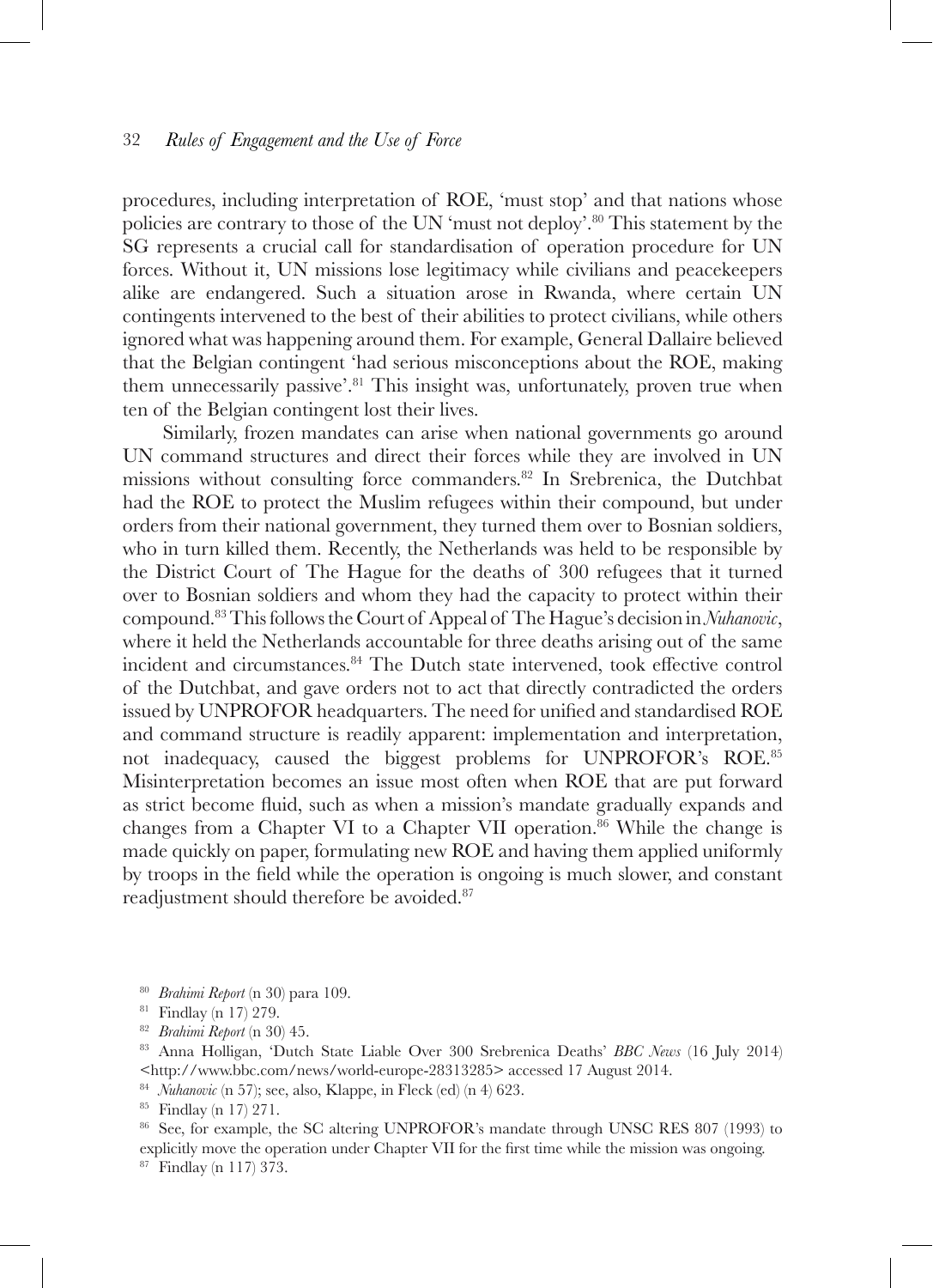procedures, including interpretation of ROE, 'must stop' and that nations whose policies are contrary to those of the UN 'must not deploy'.80 This statement by the SG represents a crucial call for standardisation of operation procedure for UN forces. Without it, UN missions lose legitimacy while civilians and peacekeepers alike are endangered. Such a situation arose in Rwanda, where certain UN contingents intervened to the best of their abilities to protect civilians, while others ignored what was happening around them. For example, General Dallaire believed that the Belgian contingent 'had serious misconceptions about the ROE, making them unnecessarily passive'.<sup>81</sup> This insight was, unfortunately, proven true when ten of the Belgian contingent lost their lives.

Similarly, frozen mandates can arise when national governments go around UN command structures and direct their forces while they are involved in UN missions without consulting force commanders.82 In Srebrenica, the Dutchbat had the ROE to protect the Muslim refugees within their compound, but under orders from their national government, they turned them over to Bosnian soldiers, who in turn killed them. Recently, the Netherlands was held to be responsible by the District Court of The Hague for the deaths of 300 refugees that it turned over to Bosnian soldiers and whom they had the capacity to protect within their compound.83 This follows the Court of Appeal of The Hague's decision in *Nuhanovic*, where it held the Netherlands accountable for three deaths arising out of the same incident and circumstances.84 The Dutch state intervened, took effective control of the Dutchbat, and gave orders not to act that directly contradicted the orders issued by UNPROFOR headquarters. The need for unified and standardised ROE and command structure is readily apparent: implementation and interpretation, not inadequacy, caused the biggest problems for UNPROFOR's ROE.<sup>85</sup> Misinterpretation becomes an issue most often when ROE that are put forward as strict become fluid, such as when a mission's mandate gradually expands and changes from a Chapter VI to a Chapter VII operation.<sup>86</sup> While the change is made quickly on paper, formulating new ROE and having them applied uniformly by troops in the field while the operation is ongoing is much slower, and constant readjustment should therefore be avoided.<sup>87</sup>

- 
- 
- 

<sup>84</sup> *Nuhanovic* (n 57); see, also, Klappe, in Fleck (ed) (n 4) 623.<br><sup>85</sup> Findlay (n 17) 271.<br><sup>86</sup> See, for example, the SC altering UNPROFOR's mandate through UNSC RES 807 (1993) to explicitly move the operation under Chapter VII for the first time while the mission was ongoing.

<sup>87</sup> Findlay (n 117) 373.

<sup>80</sup> *Brahimi Report* (n 30) para 109. 81 Findlay (n 17) 279. 82 *Brahimi Report* (n 30) 45. 83 Anna Holligan, 'Dutch State Liable Over 300 Srebrenica Deaths' *BBC News* (16 July 2014) <http://www.bbc.com/news/world-europe-28313285> accessed 17 August 2014.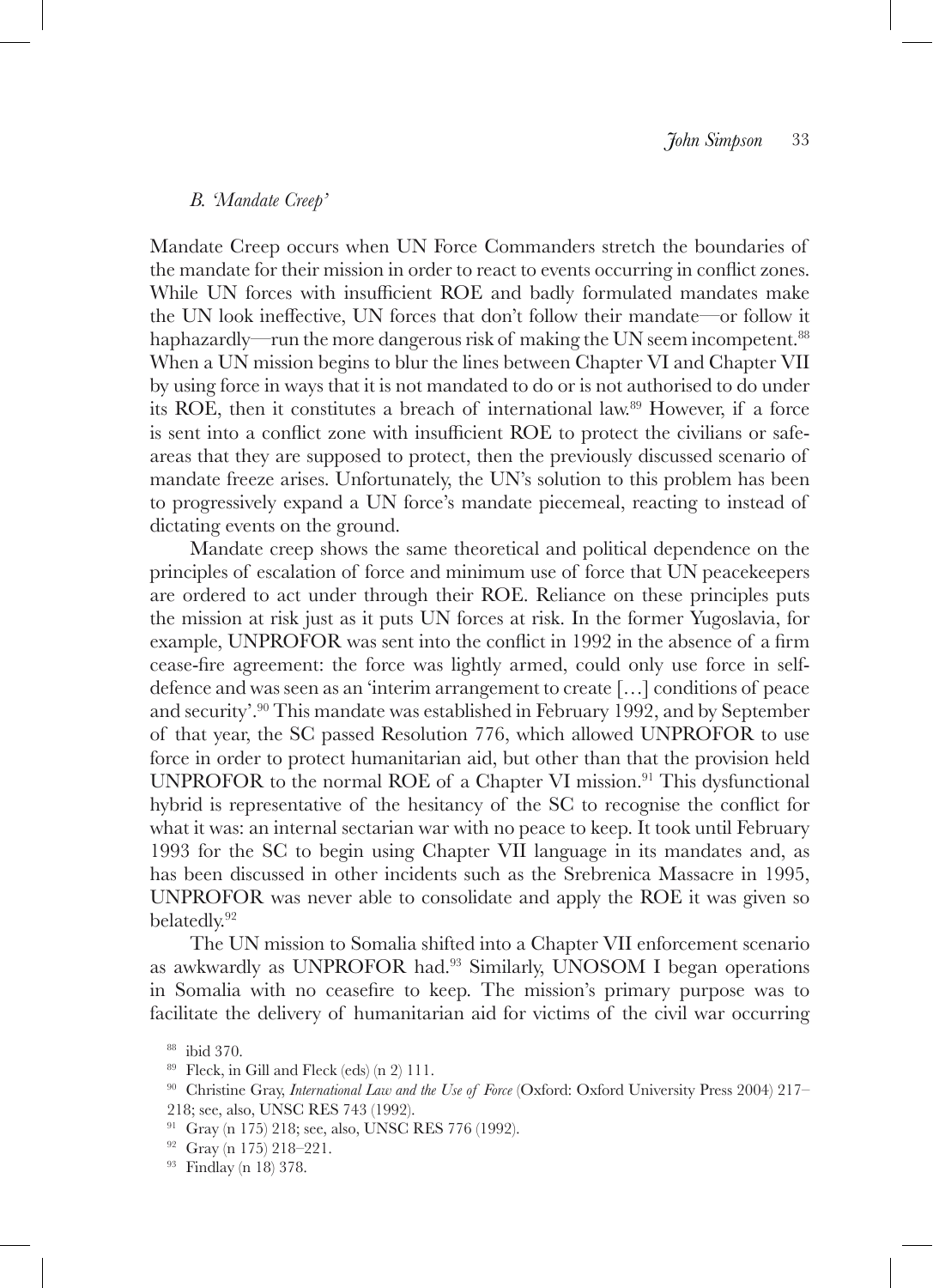### *B. 'Mandate Creep'*

Mandate Creep occurs when UN Force Commanders stretch the boundaries of the mandate for their mission in order to react to events occurring in conflict zones. While UN forces with insufficient ROE and badly formulated mandates make the UN look ineffective, UN forces that don't follow their mandate—or follow it haphazardly—run the more dangerous risk of making the UN seem incompetent.<sup>88</sup> When a UN mission begins to blur the lines between Chapter VI and Chapter VII by using force in ways that it is not mandated to do or is not authorised to do under its ROE, then it constitutes a breach of international law.89 However, if a force is sent into a conflict zone with insufficient ROE to protect the civilians or safeareas that they are supposed to protect, then the previously discussed scenario of mandate freeze arises. Unfortunately, the UN's solution to this problem has been to progressively expand a UN force's mandate piecemeal, reacting to instead of dictating events on the ground.

Mandate creep shows the same theoretical and political dependence on the principles of escalation of force and minimum use of force that UN peacekeepers are ordered to act under through their ROE. Reliance on these principles puts the mission at risk just as it puts UN forces at risk. In the former Yugoslavia, for example, UNPROFOR was sent into the conflict in 1992 in the absence of a firm cease-fire agreement: the force was lightly armed, could only use force in selfdefence and was seen as an 'interim arrangement to create […] conditions of peace and security'.90 This mandate was established in February 1992, and by September of that year, the SC passed Resolution 776, which allowed UNPROFOR to use force in order to protect humanitarian aid, but other than that the provision held UNPROFOR to the normal ROE of a Chapter VI mission.<sup>91</sup> This dysfunctional hybrid is representative of the hesitancy of the SC to recognise the conflict for what it was: an internal sectarian war with no peace to keep. It took until February 1993 for the SC to begin using Chapter VII language in its mandates and, as has been discussed in other incidents such as the Srebrenica Massacre in 1995, UNPROFOR was never able to consolidate and apply the ROE it was given so belatedly.92

The UN mission to Somalia shifted into a Chapter VII enforcement scenario as awkwardly as UNPROFOR had.93 Similarly, UNOSOM I began operations in Somalia with no ceasefire to keep. The mission's primary purpose was to facilitate the delivery of humanitarian aid for victims of the civil war occurring

<sup>&</sup>lt;sup>88</sup> ibid 370.<br><sup>89</sup> Fleck, in Gill and Fleck (eds) (n 2) 111.<br><sup>90</sup> Christine Gray, *International Law and the Use of Force* (Oxford: Oxford University Press 2004) 217– 218; see, also, UNSC RES 743 (1992).

<sup>&</sup>lt;sup>91</sup> Gray (n 175) 218; see, also, UNSC RES 776 (1992).<br><sup>92</sup> Gray (n 175) 218–221.

<sup>&</sup>lt;sup>93</sup> Findlay (n 18) 378.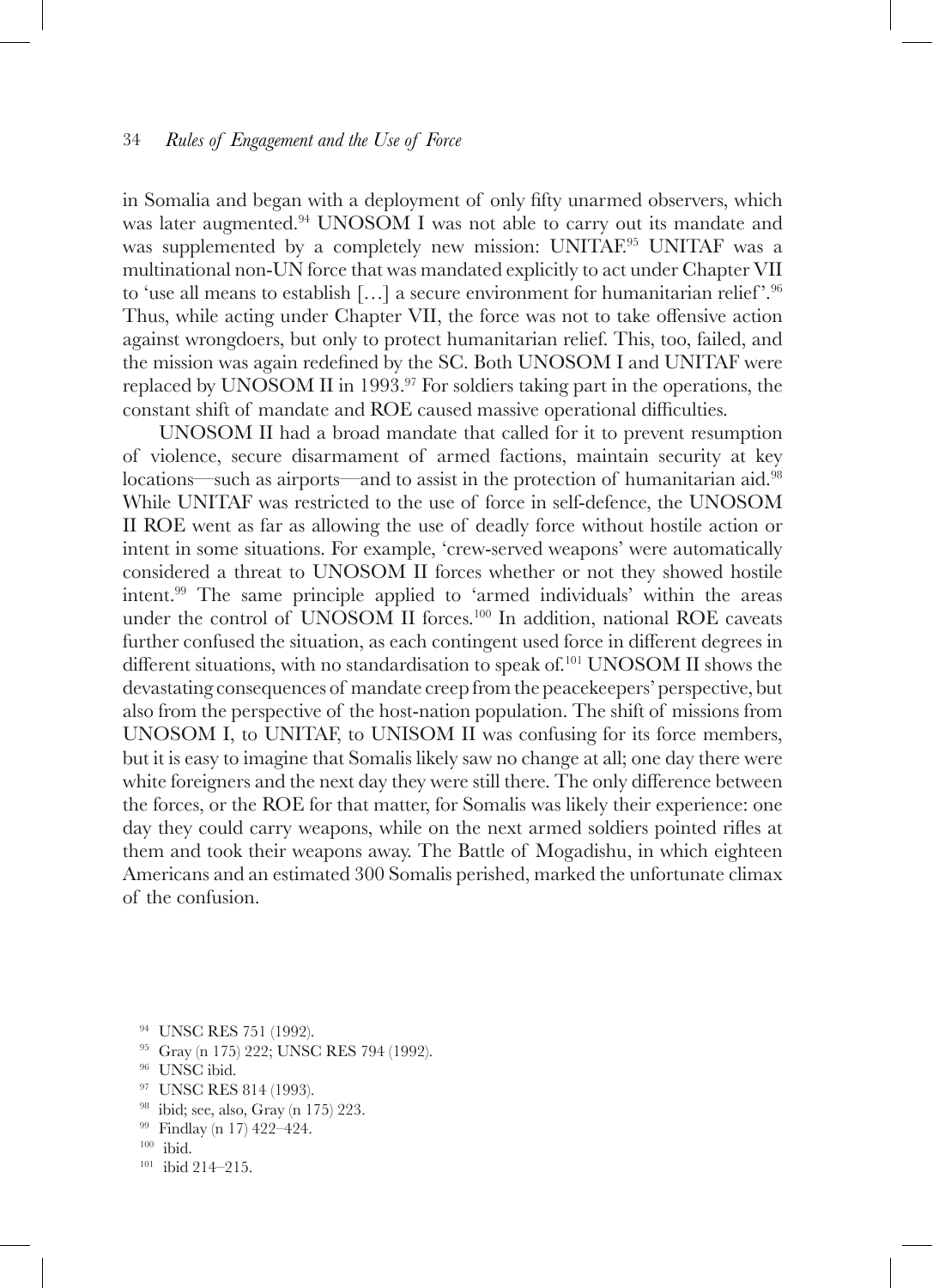in Somalia and began with a deployment of only fifty unarmed observers, which was later augmented.<sup>94</sup> UNOSOM I was not able to carry out its mandate and was supplemented by a completely new mission: UNITAF.<sup>95</sup> UNITAF was a multinational non-UN force that was mandated explicitly to act under Chapter VII to 'use all means to establish  $[\,\ldots]$  a secure environment for humanitarian relief'.<sup>96</sup> Thus, while acting under Chapter VII, the force was not to take offensive action against wrongdoers, but only to protect humanitarian relief. This, too, failed, and the mission was again redefined by the SC. Both UNOSOM I and UNITAF were replaced by UNOSOM II in 1993.<sup>97</sup> For soldiers taking part in the operations, the constant shift of mandate and ROE caused massive operational difficulties.

UNOSOM II had a broad mandate that called for it to prevent resumption of violence, secure disarmament of armed factions, maintain security at key locations—such as airports—and to assist in the protection of humanitarian aid.<sup>98</sup> While UNITAF was restricted to the use of force in self-defence, the UNOSOM II ROE went as far as allowing the use of deadly force without hostile action or intent in some situations. For example, 'crew-served weapons' were automatically considered a threat to UNOSOM II forces whether or not they showed hostile intent.99 The same principle applied to 'armed individuals' within the areas under the control of UNOSOM II forces.<sup>100</sup> In addition, national ROE caveats further confused the situation, as each contingent used force in different degrees in different situations, with no standardisation to speak of.101 UNOSOM II shows the devastating consequences of mandate creep from the peacekeepers' perspective, but also from the perspective of the host-nation population. The shift of missions from UNOSOM I, to UNITAF, to UNISOM II was confusing for its force members, but it is easy to imagine that Somalis likely saw no change at all; one day there were white foreigners and the next day they were still there. The only difference between the forces, or the ROE for that matter, for Somalis was likely their experience: one day they could carry weapons, while on the next armed soldiers pointed rifles at them and took their weapons away. The Battle of Mogadishu, in which eighteen Americans and an estimated 300 Somalis perished, marked the unfortunate climax of the confusion.

- <sup>94</sup> UNSC RES 751 (1992).
- <sup>95</sup> Gray (n 175) 222; UNSC RES 794 (1992).
- <sup>96</sup> UNSC ibid.
- 97 UNSC RES 814 (1993).
- 98 ibid; see, also, Gray (n 175) 223.<br>
99 Findlay (n 17) 422–424.<br>
100 ibid. 101 ibid 214–215.
- 
- 
-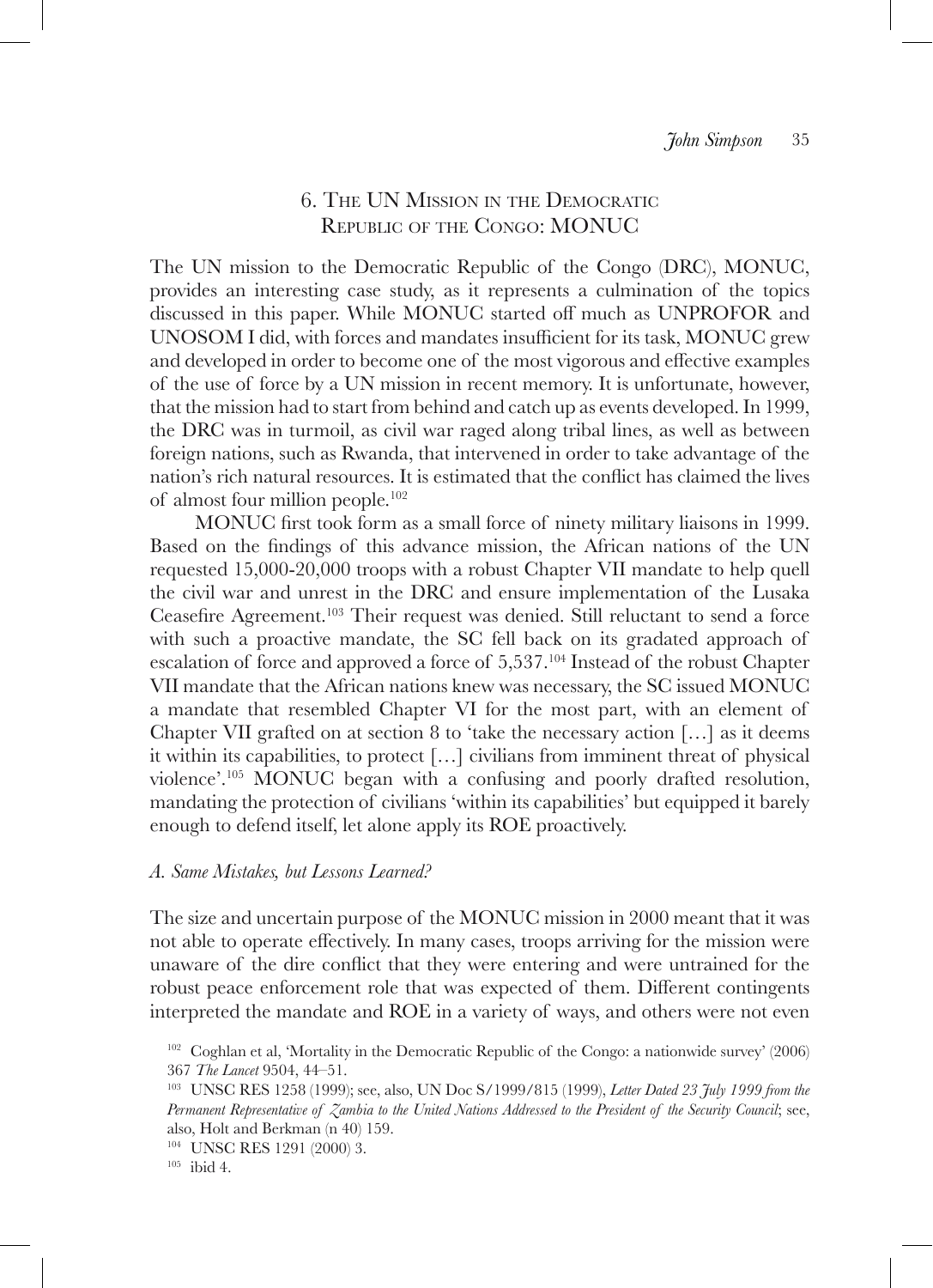# 6. The UN Mission in the Democratic Republic of the Congo: MONUC

The UN mission to the Democratic Republic of the Congo (DRC), MONUC, provides an interesting case study, as it represents a culmination of the topics discussed in this paper. While MONUC started off much as UNPROFOR and UNOSOM I did, with forces and mandates insufficient for its task, MONUC grew and developed in order to become one of the most vigorous and effective examples of the use of force by a UN mission in recent memory. It is unfortunate, however, that the mission had to start from behind and catch up as events developed. In 1999, the DRC was in turmoil, as civil war raged along tribal lines, as well as between foreign nations, such as Rwanda, that intervened in order to take advantage of the nation's rich natural resources. It is estimated that the conflict has claimed the lives of almost four million people. $102$ 

MONUC first took form as a small force of ninety military liaisons in 1999. Based on the findings of this advance mission, the African nations of the UN requested 15,000-20,000 troops with a robust Chapter VII mandate to help quell the civil war and unrest in the DRC and ensure implementation of the Lusaka Ceasefire Agreement.<sup>103</sup> Their request was denied. Still reluctant to send a force with such a proactive mandate, the SC fell back on its gradated approach of escalation of force and approved a force of  $5,537$ .<sup>104</sup> Instead of the robust Chapter VII mandate that the African nations knew was necessary, the SC issued MONUC a mandate that resembled Chapter VI for the most part, with an element of Chapter VII grafted on at section 8 to 'take the necessary action  $[\ldots]$  as it deems it within its capabilities, to protect […] civilians from imminent threat of physical violence'.105 MONUC began with a confusing and poorly drafted resolution, mandating the protection of civilians 'within its capabilities' but equipped it barely enough to defend itself, let alone apply its ROE proactively.

## *A. Same Mistakes, but Lessons Learned?*

The size and uncertain purpose of the MONUC mission in 2000 meant that it was not able to operate effectively. In many cases, troops arriving for the mission were unaware of the dire conflict that they were entering and were untrained for the robust peace enforcement role that was expected of them. Different contingents interpreted the mandate and ROE in a variety of ways, and others were not even

<sup>&</sup>lt;sup>102</sup> Coghlan et al, 'Mortality in the Democratic Republic of the Congo: a nationwide survey' (2006) 367 *The Lancet* 9504, 44–51.

<sup>103</sup> UNSC RES 1258 (1999); see, also, UN Doc S/1999/815 (1999), *Letter Dated 23 July 1999 from the Permanent Representative of Zambia to the United Nations Addressed to the President of the Security Council*; see, also, Holt and Berkman (n 40) 159.

 $^{104}\,$  UNSC RES 1291 (2000) 3.  $^{105}\,$ ibid 4.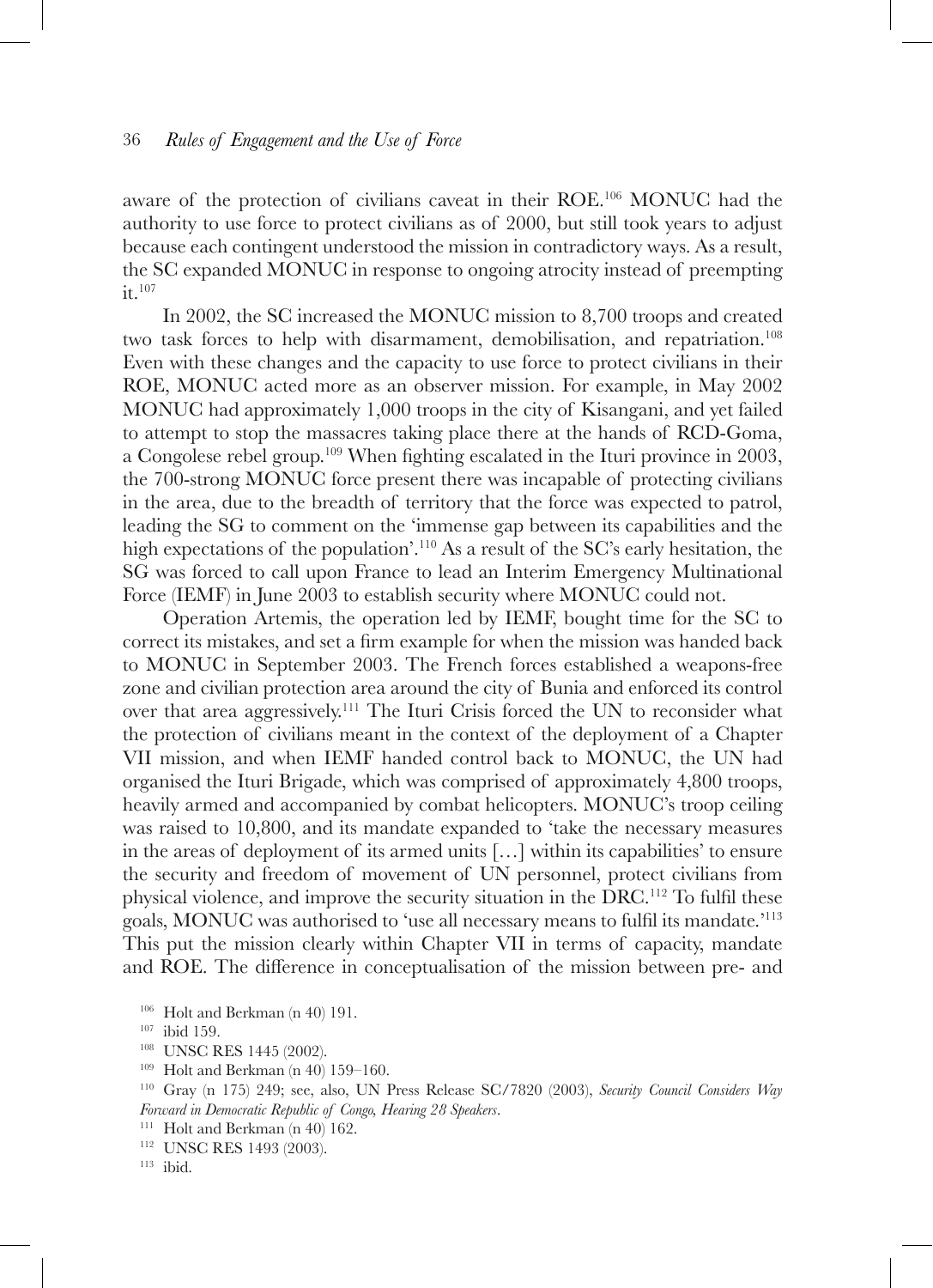aware of the protection of civilians caveat in their ROE.106 MONUC had the authority to use force to protect civilians as of 2000, but still took years to adjust because each contingent understood the mission in contradictory ways. As a result, the SC expanded MONUC in response to ongoing atrocity instead of preempting it.107

In 2002, the SC increased the MONUC mission to 8,700 troops and created two task forces to help with disarmament, demobilisation, and repatriation.<sup>108</sup> Even with these changes and the capacity to use force to protect civilians in their ROE, MONUC acted more as an observer mission. For example, in May 2002 MONUC had approximately 1,000 troops in the city of Kisangani, and yet failed to attempt to stop the massacres taking place there at the hands of RCD-Goma, a Congolese rebel group.109 When fighting escalated in the Ituri province in 2003, the 700-strong MONUC force present there was incapable of protecting civilians in the area, due to the breadth of territory that the force was expected to patrol, leading the SG to comment on the 'immense gap between its capabilities and the high expectations of the population'.<sup>110</sup> As a result of the SC's early hesitation, the SG was forced to call upon France to lead an Interim Emergency Multinational Force (IEMF) in June 2003 to establish security where MONUC could not.

Operation Artemis, the operation led by IEMF, bought time for the SC to correct its mistakes, and set a firm example for when the mission was handed back to MONUC in September 2003. The French forces established a weapons-free zone and civilian protection area around the city of Bunia and enforced its control over that area aggressively.111 The Ituri Crisis forced the UN to reconsider what the protection of civilians meant in the context of the deployment of a Chapter VII mission, and when IEMF handed control back to MONUC, the UN had organised the Ituri Brigade, which was comprised of approximately 4,800 troops, heavily armed and accompanied by combat helicopters. MONUC's troop ceiling was raised to 10,800, and its mandate expanded to 'take the necessary measures in the areas of deployment of its armed units […] within its capabilities' to ensure the security and freedom of movement of UN personnel, protect civilians from physical violence, and improve the security situation in the DRC.112 To fulfil these goals, MONUC was authorised to 'use all necessary means to fulfil its mandate.'<sup>113</sup> This put the mission clearly within Chapter VII in terms of capacity, mandate and ROE. The difference in conceptualisation of the mission between pre- and

<sup>&</sup>lt;sup>106</sup> Holt and Berkman (n 40) 191.<br><sup>107</sup> ibid 159.<br><sup>108</sup> UNSC RES 1445 (2002).<br><sup>109</sup> Holt and Berkman (n 40) 159–160.

<sup>&</sup>lt;sup>110</sup> Gray (n 175) 249; see, also, UN Press Release SC/7820 (2003), *Security Council Considers Way Forward in Democratic Republic of Congo, Hearing 28 Speakers.*<br><sup>111</sup> Holt and Berkman (n 40) 162.<br><sup>112</sup> UNSC RES 1493 (2003).

<sup>113</sup> ibid.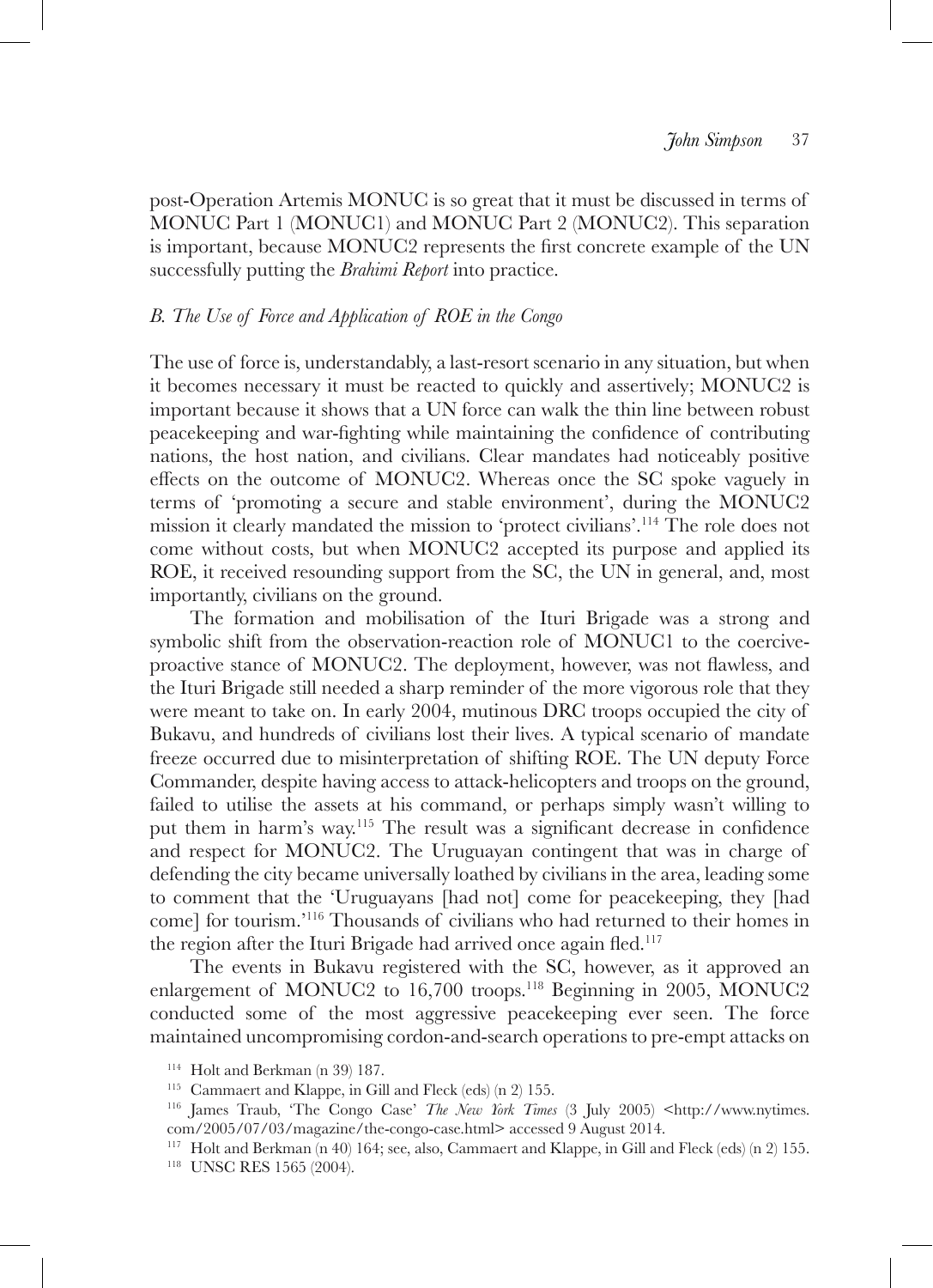post-Operation Artemis MONUC is so great that it must be discussed in terms of MONUC Part 1 (MONUC1) and MONUC Part 2 (MONUC2). This separation is important, because MONUC2 represents the first concrete example of the UN successfully putting the *Brahimi Report* into practice.

### *B. The Use of Force and Application of ROE in the Congo*

The use of force is, understandably, a last-resort scenario in any situation, but when it becomes necessary it must be reacted to quickly and assertively; MONUC2 is important because it shows that a UN force can walk the thin line between robust peacekeeping and war-fighting while maintaining the confidence of contributing nations, the host nation, and civilians. Clear mandates had noticeably positive effects on the outcome of MONUC2. Whereas once the SC spoke vaguely in terms of 'promoting a secure and stable environment', during the MONUC2 mission it clearly mandated the mission to 'protect civilians'.114 The role does not come without costs, but when MONUC2 accepted its purpose and applied its ROE, it received resounding support from the SC, the UN in general, and, most importantly, civilians on the ground.

The formation and mobilisation of the Ituri Brigade was a strong and symbolic shift from the observation-reaction role of MONUC1 to the coerciveproactive stance of MONUC2. The deployment, however, was not flawless, and the Ituri Brigade still needed a sharp reminder of the more vigorous role that they were meant to take on. In early 2004, mutinous DRC troops occupied the city of Bukavu, and hundreds of civilians lost their lives. A typical scenario of mandate freeze occurred due to misinterpretation of shifting ROE. The UN deputy Force Commander, despite having access to attack-helicopters and troops on the ground, failed to utilise the assets at his command, or perhaps simply wasn't willing to put them in harm's way.115 The result was a significant decrease in confidence and respect for MONUC2. The Uruguayan contingent that was in charge of defending the city became universally loathed by civilians in the area, leading some to comment that the 'Uruguayans [had not] come for peacekeeping, they [had come] for tourism.'116 Thousands of civilians who had returned to their homes in the region after the Ituri Brigade had arrived once again fled.<sup>117</sup>

The events in Bukavu registered with the SC, however, as it approved an enlargement of MONUC2 to 16,700 troops.<sup>118</sup> Beginning in 2005, MONUC2 conducted some of the most aggressive peacekeeping ever seen. The force maintained uncompromising cordon-and-search operations to pre-empt attacks on

<sup>114</sup> Holt and Berkman (n 39) 187. 115 Cammaert and Klappe, in Gill and Fleck (eds) (n 2) 155. 116 James Traub, 'The Congo Case' *The New York Times* (3 July 2005) <http://www.nytimes. com/2005/07/03/magazine/the-congo-case.html> accessed 9 August 2014.

<sup>&</sup>lt;sup>117</sup> Holt and Berkman (n 40) 164; see, also, Cammaert and Klappe, in Gill and Fleck (eds) (n 2) 155.<br><sup>118</sup> UNSC RES 1565 (2004).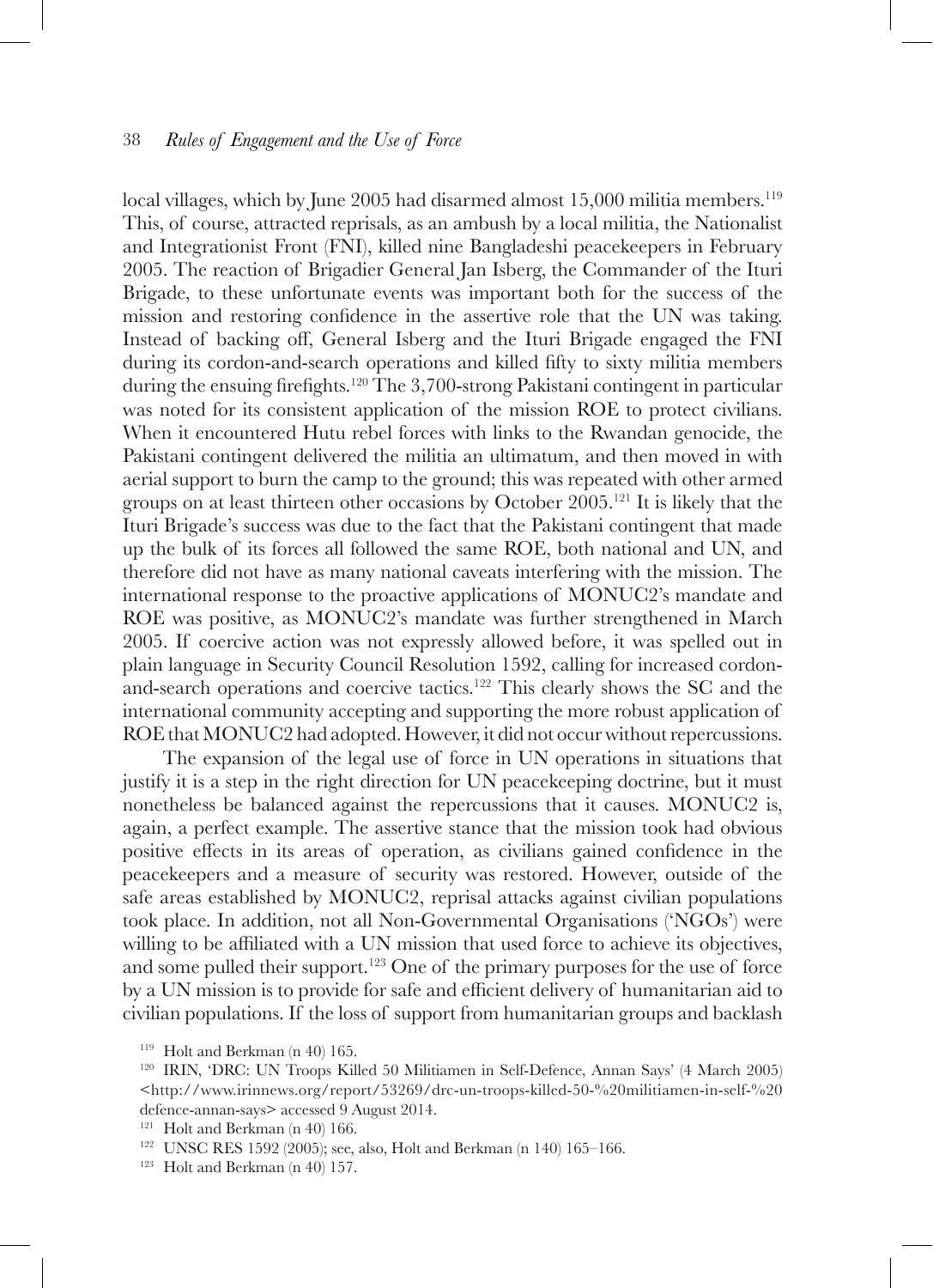local villages, which by June 2005 had disarmed almost 15,000 militia members.<sup>119</sup> This, of course, attracted reprisals, as an ambush by a local militia, the Nationalist and Integrationist Front (FNI), killed nine Bangladeshi peacekeepers in February 2005. The reaction of Brigadier General Jan Isberg, the Commander of the Ituri Brigade, to these unfortunate events was important both for the success of the mission and restoring confidence in the assertive role that the UN was taking. Instead of backing off, General Isberg and the Ituri Brigade engaged the FNI during its cordon-and-search operations and killed fifty to sixty militia members during the ensuing firefights.<sup>120</sup> The 3,700-strong Pakistani contingent in particular was noted for its consistent application of the mission ROE to protect civilians. When it encountered Hutu rebel forces with links to the Rwandan genocide, the Pakistani contingent delivered the militia an ultimatum, and then moved in with aerial support to burn the camp to the ground; this was repeated with other armed groups on at least thirteen other occasions by October  $2005$ <sup>121</sup> It is likely that the Ituri Brigade's success was due to the fact that the Pakistani contingent that made up the bulk of its forces all followed the same ROE, both national and UN, and therefore did not have as many national caveats interfering with the mission. The international response to the proactive applications of MONUC2's mandate and ROE was positive, as MONUC2's mandate was further strengthened in March 2005. If coercive action was not expressly allowed before, it was spelled out in plain language in Security Council Resolution 1592, calling for increased cordonand-search operations and coercive tactics.122 This clearly shows the SC and the international community accepting and supporting the more robust application of ROE that MONUC2 had adopted. However, it did not occur without repercussions.

The expansion of the legal use of force in UN operations in situations that justify it is a step in the right direction for UN peacekeeping doctrine, but it must nonetheless be balanced against the repercussions that it causes. MONUC2 is, again, a perfect example. The assertive stance that the mission took had obvious positive effects in its areas of operation, as civilians gained confidence in the peacekeepers and a measure of security was restored. However, outside of the safe areas established by MONUC2, reprisal attacks against civilian populations took place. In addition, not all Non-Governmental Organisations ('NGOs') were willing to be affiliated with a UN mission that used force to achieve its objectives, and some pulled their support.<sup>123</sup> One of the primary purposes for the use of force by a UN mission is to provide for safe and efficient delivery of humanitarian aid to civilian populations. If the loss of support from humanitarian groups and backlash

<sup>&</sup>lt;sup>119</sup> Holt and Berkman (n 40) 165.<br><sup>120</sup> IRIN, 'DRC: UN Troops Killed 50 Militiamen in Self-Defence, Annan Says' (4 March 2005) <http://www.irinnews.org/report/53269/drc-un-troops-killed-50-%20militiamen-in-self-%20 defence-annan-says> accessed 9 August 2014.

<sup>&</sup>lt;sup>121</sup> Holt and Berkman (n 40) 166.<br><sup>122</sup> UNSC RES 1592 (2005); see, also, Holt and Berkman (n 140) 165–166.<br><sup>123</sup> Holt and Berkman (n 40) 157.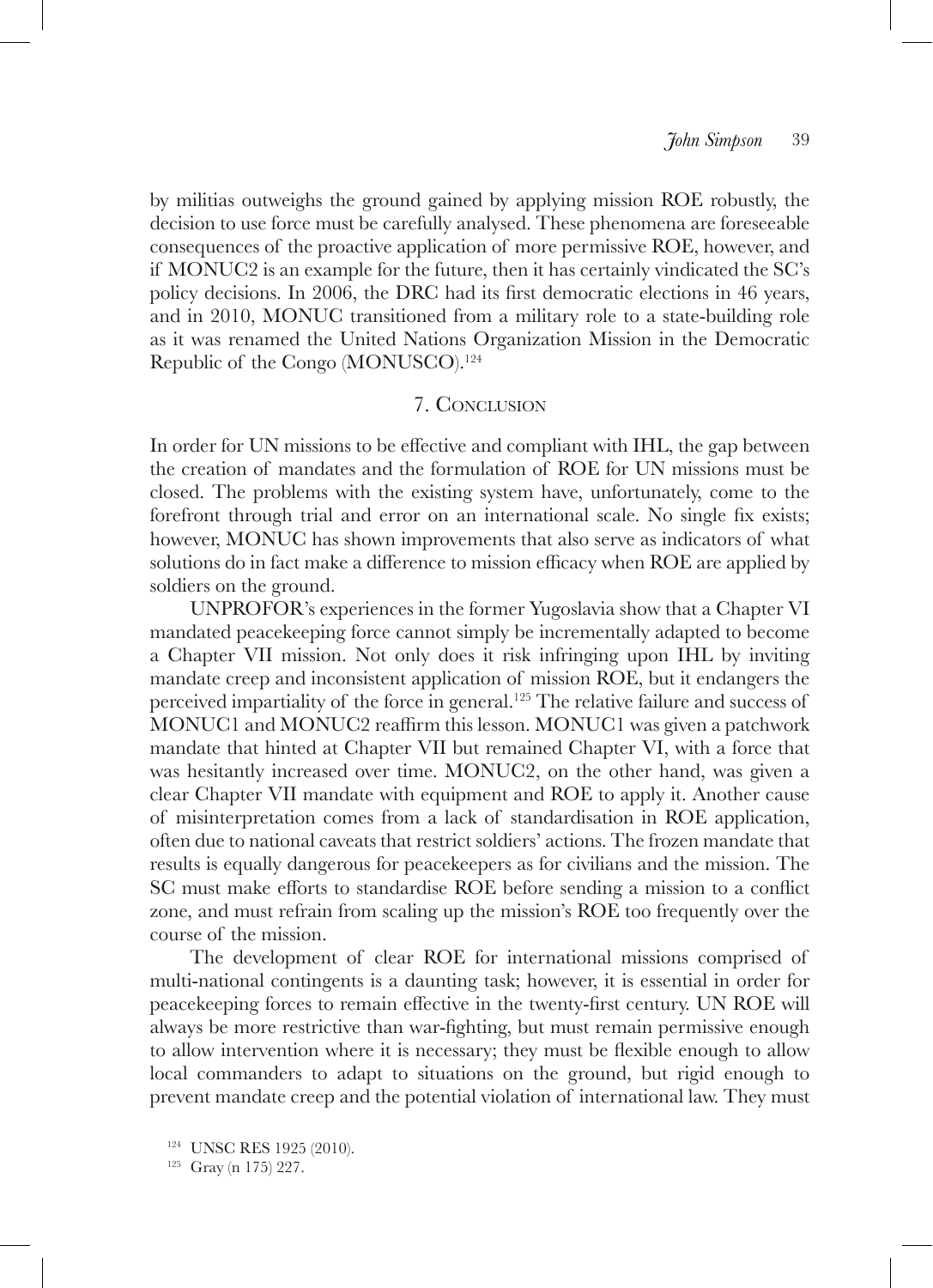by militias outweighs the ground gained by applying mission ROE robustly, the decision to use force must be carefully analysed. These phenomena are foreseeable consequences of the proactive application of more permissive ROE, however, and if MONUC2 is an example for the future, then it has certainly vindicated the SC's policy decisions. In 2006, the DRC had its first democratic elections in 46 years, and in 2010, MONUC transitioned from a military role to a state-building role as it was renamed the United Nations Organization Mission in the Democratic Republic of the Congo (MONUSCO).<sup>124</sup>

# 7. Conclusion

In order for UN missions to be effective and compliant with IHL, the gap between the creation of mandates and the formulation of ROE for UN missions must be closed. The problems with the existing system have, unfortunately, come to the forefront through trial and error on an international scale. No single fix exists; however, MONUC has shown improvements that also serve as indicators of what solutions do in fact make a difference to mission efficacy when ROE are applied by soldiers on the ground.

UNPROFOR's experiences in the former Yugoslavia show that a Chapter VI mandated peacekeeping force cannot simply be incrementally adapted to become a Chapter VII mission. Not only does it risk infringing upon IHL by inviting mandate creep and inconsistent application of mission ROE, but it endangers the perceived impartiality of the force in general.125 The relative failure and success of MONUC1 and MONUC2 reaffirm this lesson. MONUC1 was given a patchwork mandate that hinted at Chapter VII but remained Chapter VI, with a force that was hesitantly increased over time. MONUC2, on the other hand, was given a clear Chapter VII mandate with equipment and ROE to apply it. Another cause of misinterpretation comes from a lack of standardisation in ROE application, often due to national caveats that restrict soldiers' actions. The frozen mandate that results is equally dangerous for peacekeepers as for civilians and the mission. The SC must make efforts to standardise ROE before sending a mission to a conflict zone, and must refrain from scaling up the mission's ROE too frequently over the course of the mission.

The development of clear ROE for international missions comprised of multi-national contingents is a daunting task; however, it is essential in order for peacekeeping forces to remain effective in the twenty-first century. UN ROE will always be more restrictive than war-fighting, but must remain permissive enough to allow intervention where it is necessary; they must be flexible enough to allow local commanders to adapt to situations on the ground, but rigid enough to prevent mandate creep and the potential violation of international law. They must

<sup>125</sup> Gray (n 175) 227.

<sup>124</sup> UNSC RES 1925 (2010).